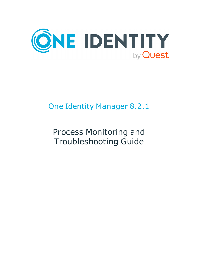

# One Identity Manager 8.2.1

# Process Monitoring and Troubleshooting Guide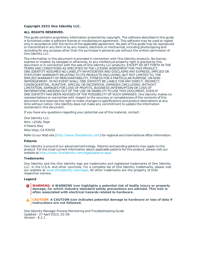#### **Copyright 2022 One Identity LLC.**

#### **ALL RIGHTS RESERVED.**

This guide contains proprietary information protected by copyright. The software described in this guide is furnished under a software license or nondisclosure agreement. This software may be used or copied only in accordance with the terms of the applicable agreement. No part of this guide may be reproduced or transmitted in any form or by any means, electronic or mechanical, including photocopying and recording for any purpose other than the purchaser's personal use without the written permission of One Identity LLC .

The information in this document is provided in connection with One Identity products. No license, express or implied, by estoppel or otherwise, to any intellectual property right is granted by this document or in connection with the sale of One Identity LLC products. EXCEPT AS SET FORTH IN THE TERMS AND CONDITIONS AS SPECIFIED IN THE LICENSE AGREEMENT FOR THIS PRODUCT, ONE IDENTITY ASSUMES NO LIABILITY WHATSOEVER AND DISCLAIMS ANY EXPRESS, IMPLIED OR STATUTORY WARRANTY RELATING TO ITS PRODUCTS INCLUDING, BUT NOT LIMITED TO, THE IMPLIED WARRANTY OF MERCHANTABILITY, FITNESS FOR A PARTICULAR PURPOSE, OR NON-INFRINGEMENT. IN NO EVENT SHALL ONE IDENTITY BE LIABLE FOR ANY DIRECT, INDIRECT, CONSEQUENTIAL, PUNITIVE, SPECIAL OR INCIDENTAL DAMAGES (INCLUDING, WITHOUT LIMITATION, DAMAGES FOR LOSS OF PROFITS, BUSINESS INTERRUPTION OR LOSS OF INFORMATION) ARISING OUT OF THE USE OR INABILITY TO USE THIS DOCUMENT, EVEN IF ONE IDENTITY HAS BEEN ADVISED OF THE POSSIBILITY OF SUCH DAMAGES. One Identity makes no representations or warranties with respect to the accuracy or completeness of the contents of this document and reserves the right to make changes to specifications and product descriptions at any time without notice. One Identity does not make any commitment to update the information contained in this document.

If you have any questions regarding your potential use of this material, contact:

One Identity LLC. Attn: LEGAL Dept 4 Polaris Way Aliso Viejo, CA 92656

Refer to our Web site ([http://www.OneIdentity.com](http://www.oneidentity.com/)) for regional and international office information.

#### **Patents**

One Identity is proud of our advanced technology. Patents and pending patents may apply to this product. For the most current information about applicable patents for this product, please visit our website at [http://www.OneIdentity.com/legal/patents.aspx](http://www.oneidentity.com/legal/patents.aspx).

#### **Trademarks**

One Identity and the One Identity logo are trademarks and registered trademarks of One Identity LLC. in the U.S.A. and other countries. For a complete list of One Identity trademarks, please visit our website at [www.OneIdentity.com/legal](http://www.oneidentity.com/legal). All other trademarks are the property of their respective owners.

#### **Legend**

**WARNING: A WARNING icon highlights a potential risk of bodily injury or property damage, for which industry-standard safety precautions are advised. This icon is often associated with electrical hazards related to hardware.**

**CAUTION: A CAUTION icon indicates potential damage to hardware or loss of data if** A **instructions are not followed.**

One Identity Manager Process Monitoring and Troubleshooting Guide Updated - 27 April 2022, 02:06 Version - 8.2.1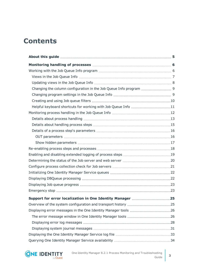## **Contents**

| Helpful keyboard shortcuts for working with Job Queue Info 11 |  |
|---------------------------------------------------------------|--|
|                                                               |  |
|                                                               |  |
|                                                               |  |
|                                                               |  |
|                                                               |  |
|                                                               |  |
|                                                               |  |
|                                                               |  |
|                                                               |  |
|                                                               |  |
|                                                               |  |
|                                                               |  |
|                                                               |  |
|                                                               |  |
| Support for error localization in One Identity Manager 25     |  |
|                                                               |  |
|                                                               |  |
|                                                               |  |
|                                                               |  |
|                                                               |  |
|                                                               |  |
|                                                               |  |



One Identity Manager 8.2.1 Process Monitoring and Troubleshooting Guide  $\begin{vmatrix} 3 \end{vmatrix}$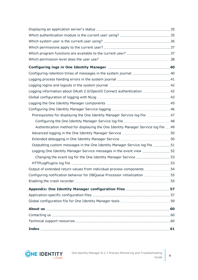| Configuring retention times of messages in the system journal  40                  |    |
|------------------------------------------------------------------------------------|----|
|                                                                                    |    |
|                                                                                    |    |
| Logging information about OAuth 2.0/OpenID Connect authentication 42               |    |
|                                                                                    |    |
|                                                                                    |    |
|                                                                                    |    |
| Prerequisites for displaying the One Identity Manager Service log file 47          |    |
|                                                                                    |    |
| Authentication method for displaying the One Identity Manager Service log file  49 |    |
|                                                                                    |    |
|                                                                                    |    |
| Outputting custom messages in the One Identity Manager Service log file 51         |    |
| Logging One Identity Manager Service messages in the event view  52                |    |
|                                                                                    |    |
|                                                                                    |    |
| Output of extended return values from individual process components 54             |    |
| Configuring notification behavior for DBQueue Processor initialization             | 55 |
|                                                                                    |    |
| Appendix: One Identity Manager configuration files 57                              |    |
|                                                                                    |    |
|                                                                                    |    |
|                                                                                    |    |
|                                                                                    |    |
|                                                                                    |    |
|                                                                                    |    |

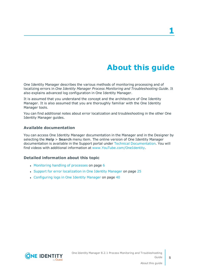# **About this guide**

<span id="page-4-0"></span>One Identity Manager describes the various methods of monitoring processing and of localizing errors in *One Identity Manager Process Monitoring and Troubleshooting Guide*. It also explains advanced log configuration in One Identity Manager.

It is assumed that you understand the concept and the architecture of One Identity Manager. It is also assumed that you are thoroughly familiar with the One Identity Manager tools.

You can find additional notes about error localization and troubleshooting in the other One Identity Manager guides.

### **Available documentation**

You can access One Identity Manager documentation in the Manager and in the Designer by selecting the **Help** > **Search** menu item. The online version of One Identity Manager documentation is available in the Support portal under Technical [Documentation](https://support.oneidentity.com/identity-manager/technical-documents). You will find videos with additional information at [www.YouTube.com/OneIdentity.](http://www.youtube.com/OneIdentity)

### **Detailed information about this topic**

- [Monitoring](#page-5-0) handling of processes on page 6
- Support for error [localization](#page-24-0) in One Identity Manager on page 25
- [Configuring](#page-39-0) logs in One Identity Manager on page 40

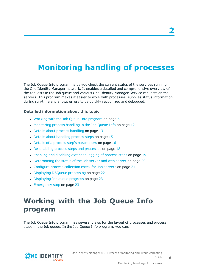# <span id="page-5-0"></span>**Monitoring handling of processes**

The Job Queue Info program helps you check the current status of the services running in the One Identity Manager network. It enables a detailed and comprehensive overview of the requests in the Job queue and various One Identity Manager Service requests on the servers. This program makes it easier to work with processes, supplies status information during run-time and allows errors to be quickly recognized and debugged.

### **Detailed information about this topic**

- Working with the Job Queue Info [program](#page-5-1) on page  $6$
- [Monitoring](#page-11-0) process handling in the Job Queue Info on page 12
- $\bullet$  Details about process [handling](#page-12-0) on page 13
- Details about [handling](#page-14-0) process steps on page 15
- Details of a process step's [parameters](#page-15-0) on page 16
- $\cdot$  [Re-enabling](#page-17-0) process steps and processes on page 18
- Enabling and disabling [extended](#page-18-0) logging of process steps on page 19
- [Determining](#page-19-0) the status of the Job server and web server on page 20
- [Configure](#page-20-0) process collection check for Job servers on page 21
- Displaying DBQueue [processing](#page-21-1) on page 22
- [Displaying](#page-22-0) Job queue progress on page 23
- [Emergency](#page-22-1) stop on page 23

## <span id="page-5-1"></span>**Working with the Job Queue Info program**

The Job Queue Info program has several views for the layout of processes and process steps in the Job queue. In the Job Queue Info program, you can:

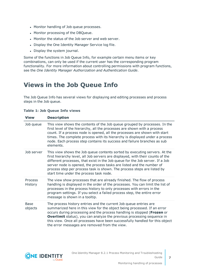- Monitor handling of Job queue processes.
- Monitor processing of the DBQueue.
- Monitor the status of the Job server and web server.
- Display the One Identity Manager Service log file.
- Display the system journal.

Some of the functions in Job Queue Info, for example certain menu items or key combinations, can only be used if the current user has the corresponding program functionality. For more information about controlling permissions with program functions, see the *One Identity Manager Authorization and Authentication Guide*.

### <span id="page-6-0"></span>**Views in the Job Queue Info**

The Job Queue Info has several views for displaying and editing processes and process steps in the Job queue.

**Table 1: Job Queue Info views**

| <b>View</b>               | <b>Description</b>                                                                                                                                                                                                                                                                                                                                                                                                                           |
|---------------------------|----------------------------------------------------------------------------------------------------------------------------------------------------------------------------------------------------------------------------------------------------------------------------------------------------------------------------------------------------------------------------------------------------------------------------------------------|
| Job queue                 | This view shows the contents of the Job queue grouped by processes. In the<br>first level of the hierarchy, all the processes are shown with a process<br>count. If a process node is opened, all the processes are shown with start<br>times. The complete process with its hierarchy is displayed under a process<br>node. Each process step contains its success and failure branches as sub<br>elements.                                 |
| Job server                | This view shows the Job queue contents sorted by executing servers. At the<br>first hierarchy level, all Job servers are displayed, with their counts of the<br>different processes, that exist in the Job queue for the Job server. If a Job<br>server node is opened, the process tasks are listed and the number of<br>process step per process task is shown. The process steps are listed by<br>start time under the process task node. |
| <b>Process</b><br>History | The view show processes that are already finished. The flow of process<br>handling is displayed in the order of the processes. You can limit the list of<br>processes in the process history to only processes with errors in the<br>program settings. If you select a failed process step, the entire error<br>message is shown in a tooltip.                                                                                               |
| <b>Base</b><br>objects    | The process history entries and the current Job queue entries are<br>summarized here in this view for the object being processed. If an error<br>occurs during processing and the process handling is stopped (Frozen or<br><b>Overlimit</b> status), you can analyze the previous processing sequence in<br>this view. Once all processes have been successfully handled for this object<br>the error messages are removed from the view.   |

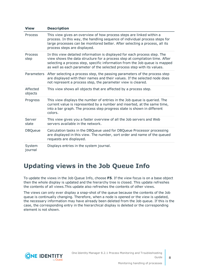| <b>View</b>         | <b>Description</b>                                                                                                                                                                                                                                                                                                 |
|---------------------|--------------------------------------------------------------------------------------------------------------------------------------------------------------------------------------------------------------------------------------------------------------------------------------------------------------------|
| Process             | This view gives an overview of how process steps are linked within a<br>process. In this way, the handling sequence of individual process steps for<br>large processes can be monitored better. After selecting a process, all its<br>process steps are displayed.                                                 |
| Process<br>step     | In this view detailed information is displayed for each process step. The<br>view shows the data structure for a process step at compilation time. After<br>selecting a process step, specific information from the Job queue is mapped<br>as well as each parameter of the selected process step with its values. |
|                     | Parameters After selecting a process step, the passing parameters of the process step<br>are displayed with their names and their values. If the selected node does<br>not represent a process step, the parameter view is cleared.                                                                                |
| Affected<br>objects | This view shows all objects that are affected by a process step.                                                                                                                                                                                                                                                   |
| Progress            | This view displays the number of entries in the Job queue is queried. The<br>current value is represented by a number and inserted, at the same time,<br>into a bar graph. The process step progress state is shown in different<br>colors.                                                                        |
| Server<br>state     | This view gives you a faster overview of all the Job servers and Web<br>servers available in the network.                                                                                                                                                                                                          |
| <b>DBQueue</b>      | Calculation tasks in the DBQueue used for DBQueue Processor processing<br>are displayed in this view. The number, sort order and name of the queued<br>requests are displayed.                                                                                                                                     |
| System<br>journal   | Displays entries in the system journal.                                                                                                                                                                                                                                                                            |

### <span id="page-7-0"></span>**Updating views in the Job Queue Info**

To update the views in the Job Queue Info, choose **F5**. If the view focus is on a base object then the whole display is updated and the hierarchy tree is closed. This update refreshes the contents of all views.This update also refreshes the contents of other views.

The views can only ever display a snap-shot of the queue because the contents of the Job queue is continually changing. Therefore, when a node is opened or the view is updated, the necessary information may have already been deleted from the Job queue. If this is the case, the corresponding entry in the hierarchical display is deleted or the corresponding element is not shown.

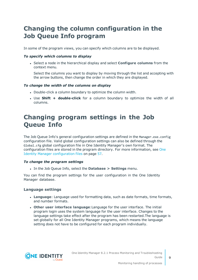### <span id="page-8-0"></span>**Changing the column configuration in the Job Queue Info program**

In some of the program views, you can specify which columns are to be displayed.

### *To specify which columns to display*

<sup>l</sup> Select a node in the hierarchical display and select **Configure columns** from the context menu.

Select the columns you want to display by moving through the list and accepting with the arrow buttons, then change the order in which they are displayed.

### *To change the width of the columns on display*

- Double-click a column boundary to optimize the column width.
- <sup>l</sup> Use **Shift + double-click** for a column boundary to optimize the width of all columns.

### <span id="page-8-1"></span>**Changing program settings in the Job Queue Info**

The Job Queue Info's general configuration settings are defined in the Manager.exe.config configuration file. Valid global configuration settings can also be defined through the Global.cfg global configuration file in One Identity Manager's own format. The configuration files are stored in the program directory. For more [information,](#page-56-0) see One Identity Manager [configuration](#page-56-0) files on page 57.

#### *To change the program settings*

<sup>l</sup> In the Job Queue Info, select the **Database > Settings** menu.

You can find the program settings for the user configuration in the One Identity Manager database.

#### **Language settings**

- **Language**: Language used for formatting data, such as date formats, time formats, and number formats.
- <sup>l</sup> **Other user interface language**:Language for the user interface. The initial program login uses the system language for the user interface. Changes to the language settings take effect after the program has been restarted.The language is set globally for all One Identity Manager programs, which means the language setting does not have to be configured for each program individually.

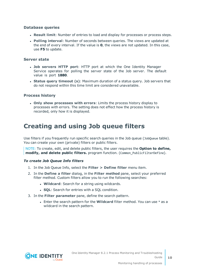### **Database queries**

- **Result limit**: Number of entries to load and display for processes or process steps.
- <sup>l</sup> **Polling interval**: Number of seconds between queries. The views are updated at the end of every interval. If the value is **0**, the views are not updated. In this case, use **F5** to update.

### **Server state**

- **. Job servers HTTP port:** HTTP port at which the One Identity Manager Service operates for polling the server state of the Job server. The default value is port **1880**.
- <sup>l</sup> **Status query timeout (s)**: Maximum duration of a status query. Job servers that do not respond within this time limit are considered unavailable.

### **Process history**

<sup>l</sup> **Only show processes with errors**: Limits the process history display to processes with errors. The setting does not effect how the process history is recorded, only how it is displayed.

### <span id="page-9-0"></span>**Creating and using Job queue filters**

Use filters if you frequently run specific search queries in the Job queue (JobQueue table). You can create your own (private) filters or public filters.

NOTE: To create, edit, and delete public filters, the user requires the **Option to define, modify, and delete public filters.** program function. (Common\_PublicFilterDefine).

### *To create Job Queue Info filters*

- 1. In the Job Queue Info, select the **Filter > Define filter** menu item.
- 2. In the **Define a filter** dialog, in the **Filter method** pane, select your preferred filter method. Custom filters allow you to run the following searches:
	- **. Wildcard:** Search for a string using wildcards.
	- **. SQL:** Search for entries with a SQL condition.
- 3. In the **Filter parameter** pane, define the search pattern.
	- <sup>l</sup> Enter the search pattern for the **Wildcard** filter method. You can use \* as a wildcard in the search pattern.

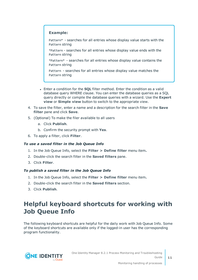### **Example:**

Pattern\* - searches for all entries whose display value starts with the Pattern string

\*Pattern - searches for all entries whose display value ends with the Pattern string

\*Pattern\* - searches for all entries whose display value contains the Pattern string

Pattern - searches for all entries whose display value matches the Pattern string

- **.** Enter a condition for the **SQL** filter method. Enter the condition as a valid database query WHERE clause. You can enter the database queries as a SQL query directly or compile the database queries with a wizard. Use the **Expert view** or **Simple view** button to switch to the appropriate view.
- 4. To save the filter, enter a name and a description for the search filter in the **Save filter** pane and click **Save**.
- 5. (Optional) To make the filer available to all users
	- a. Click **Publish**.
	- b. Confirm the security prompt with **Yes**.
- 6. To apply a filter, click **Filter**.

### *To use a saved filter in the Job Queue Info*

- 1. In the Job Queue Info, select the **Filter > Define filter** menu item**.**
- 2. Double-click the search filter in the **Saved filters** pane.
- 3. Click **Filter**.

#### *To publish a saved filter in the Job Queue Info*

- 1. In the Job Queue Info, select the **Filter > Define filter** menu item**.**
- 2. Double-click the search filter in the **Saved filters** section.
- <span id="page-10-0"></span>3. Click **Publish**.

### **Helpful keyboard shortcuts for working with Job Queue Info**

The following keyboard shortcuts are helpful for the daily work with Job Queue Info. Some of the keyboard shortcuts are available only if the logged-in user has the corresponding program functionality.

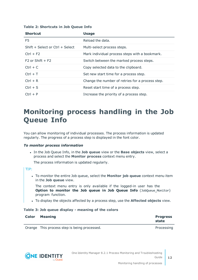| <b>Shortcut</b>                 | <b>Usage</b>                                     |
|---------------------------------|--------------------------------------------------|
| F5                              | Reload the data.                                 |
| Shift + Select or Ctrl + Select | Multi-select process steps.                      |
| $Ctrl + F2$                     | Mark individual process steps with a bookmark.   |
| $F2$ or Shift + F2              | Switch between the marked process steps.         |
| $Ctrl + C$                      | Copy selected data to the clipboard.             |
| $Ctrl + T$                      | Set new start time for a process step.           |
| $Ctrl + R$                      | Change the number of retries for a process step. |
| $Ctrl + S$                      | Reset start time of a process step.              |
| $Ctrl + P$                      | Increase the priority of a process step.         |

### **Table 2: Shortcuts in Job Queue Info**

## <span id="page-11-0"></span>**Monitoring process handling in the Job Queue Info**

You can allow monitoring of individual processes. The process information is updated regularly. The progress of a process step is displayed in the font color.

#### *To monitor process information*

<sup>l</sup> In the Job Queue Info, in the **Job queue** view or the **Base objects** view, select a process and select the **Monitor process** context menu entry.

The process information is updated regularly.

### TIP:

<sup>l</sup> To monitor the entire Job queue, select the **Monitor job queue** context menu item in the **Job queue** view.

The context menu entry is only available if the logged-in user has the **Option to monitor the Job queue in Job Queue Info** (JobQueue\_Monitor) program function.

<sup>l</sup> To display the objects affected by a process step, use the **Affected objects** view.

### **Table 3: Job queue display - meaning of the colors**

| <b>Color Meaning</b>                       | <b>Progress</b><br>state |
|--------------------------------------------|--------------------------|
| Ouenne This nuclear shop is hains purposed | Due es estas el          |

Orange This process step is being processed. The example of the processing processing

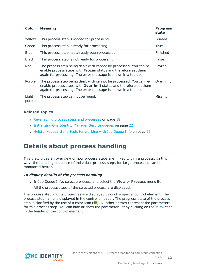| Color           | <b>Meaning</b>                                                                                                                                                                                                   | <b>Progress</b><br>state |
|-----------------|------------------------------------------------------------------------------------------------------------------------------------------------------------------------------------------------------------------|--------------------------|
| Yellow          | This process step is loaded for processing.                                                                                                                                                                      | Loaded                   |
| Green           | This process step is ready for processing.                                                                                                                                                                       | True                     |
| <b>Blue</b>     | This process step has already been processed.                                                                                                                                                                    | Finished                 |
| <b>Black</b>    | This process step is not ready for processing.                                                                                                                                                                   | <b>False</b>             |
| Red             | The process step being dealt with cannot be processed. You can re-<br>enable process steps with Frozen status and therefore set them<br>again for processing. The error message is shown in a tooltip.           | Frozen                   |
| Purple          | The process step being dealt with cannot be processed. You can re-<br>enable process steps with <b>Overlimit</b> status and therefore set them<br>again for processing. The error message is shown in a tooltip. | Overlimit                |
| Light<br>purple | The process step cannot be found.                                                                                                                                                                                | Missing                  |

### **Related topics**

- $\cdot$  [Re-enabling](#page-17-0) process steps and processes on page 18
- [Initializing](#page-21-0) One Identity Manager Service queues on page 22
- Helpful [keyboard](#page-10-0) shortcuts for working with Job Queue Info on page 11

### <span id="page-12-0"></span>**Details about process handling**

This view gives an overview of how process steps are linked within a process. In this way, the handling sequence of individual process steps for large processes can be monitored better.

### *To display details of the process handling*

- <sup>l</sup> In Job Queue Info, select a process and select the **View > Process** menu item.
	- All the process steps of the selected process are displayed.

The process step and its properties are displayed through a special control element. The process step name is displayed in the control's header. The progress state of the process step is clarified by the use of a color icon  $(\bullet)$ . All other entries represent the parameters for this process step. You can hide or show the parameter list by clicking on the  $\vee \wedge$  icons in the header of the control element.

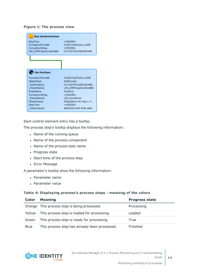### **Figure 1: The process view**

| <b>Run Synchronization</b>                                                       |                                                                                                 |
|----------------------------------------------------------------------------------|-------------------------------------------------------------------------------------------------|
| StopTime<br>ConnectionProvider<br>ConnectionString<br>UID DPRProjectionStartInfo | <hidden><br/>VI.DB.ViSqlFactory,VI.DB<br/><hidden><br/>CCC-B37036109E33924692</hidden></hidden> |
|                                                                                  |                                                                                                 |
|                                                                                  |                                                                                                 |
| <b>Fire PostSync</b>                                                             |                                                                                                 |
| ConnectionProvider<br>ObjectType                                                 | VI.DB.ViSqlFactory,VIDB<br>ADSDomain                                                            |
| ParamValue1                                                                      | CCC-B37036109E33924692                                                                          |
| ParamName1<br><b>FventName</b>                                                   | UID DPRProjectionStartInfo<br>PostSvnc                                                          |
| ConnectionString                                                                 | <hidden></hidden>                                                                               |
| ParamName2                                                                       | UID SyncServer                                                                                  |
| WhereClause                                                                      | XObjectKey = N' <key><t< td=""></t<></key>                                                      |
| StopTime<br>ParamValue2                                                          | <hidden><br/>8afb2d4a-34c9-4346-ad18-</hidden>                                                  |

Each control element entry has a tooltip.

The process step's tooltip displays the following information:

- Name of the running queue
- Name of the process component
- Name of the process task name
- Progress state
- Start time of the process step
- Error Message

A parameter's tooltip show the following information:

- Parameter name
- Parameter value

#### **Table 4: Displaying process's process steps - meaning of the colors**

| Color       | <b>Meaning</b>                                | <b>Progress state</b> |
|-------------|-----------------------------------------------|-----------------------|
|             | Orange This process step is being processed.  | Processing            |
| Yellow      | This process step is loaded for processing.   | Loaded                |
| Green       | This process step is ready for processing.    | True                  |
| <b>Blue</b> | This process step has already been processed. | Finished              |

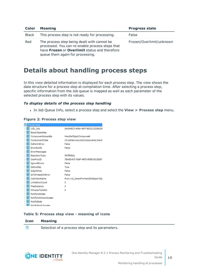| Color        | <b>Meaning</b>                                                                                                                                                                      | <b>Progress state</b>    |
|--------------|-------------------------------------------------------------------------------------------------------------------------------------------------------------------------------------|--------------------------|
| <b>Black</b> | This process step is not ready for processing.                                                                                                                                      | False                    |
| Red          | The process step being dealt with cannot be<br>processed. You can re-enable process steps that<br>have Frozen or Overlimit status and therefore<br>queue them again for processing. | Frozen/Overlimit/unknown |

### <span id="page-14-0"></span>**Details about handling process steps**

In this view detailed information is displayed for each process step. The view shows the data structure for a process step at compilation time. After selecting a process step, specific information from the Job queue is mapped as well as each parameter of the selected process step with its values.

### *To display details of the process step handling*

<sup>l</sup> In Job Queue Info, select a process step and select the **View > Process step** menu.

### **Figure 2: Process step view**

|   | Process step                 |                                     |
|---|------------------------------|-------------------------------------|
|   | 脯 UID_Job                    | 0A4349C3-454A-46F7-BD32-0238629I    |
| 睚 | Basis ObjectKey              |                                     |
|   | <b>iii</b> ComponentAssembly | HandleObjectComponent               |
|   | <b>III</b> ComponentClass    | VI.JobService.JobComponents.Hand    |
|   | <b>III</b> DeferOnError      | False                               |
|   | <b>  ErrorNotify</b>         | False                               |
|   | <b>III</b> ErrorMessages     |                                     |
|   | <b>  Execution Type</b>      | <b>INTERNAL</b>                     |
| 瞷 | GenProcID                    | 7BA8D4CF-568F-4EF0-8FBB-E01E587.    |
|   | <b>iiiiii</b> IgnoreErrors   | False                               |
|   | <b>iii</b> IsRootJob         | True                                |
|   | <b>III</b> IsSplitOnly       | False                               |
|   | <b>III</b> IsToFreezeOnError | False                               |
|   | <b>III</b> JobChainName      | Proc: vid InsertForHandleObject Obj |
|   | <b>III</b> LimitationCount   | 0                                   |
|   | <b>III</b> MaxInstance       | 0                                   |
|   | <b>    MinutesToDefer</b>    | 0                                   |
|   | <b>III</b> NotifyAddress     |                                     |
|   | WE NotifyAddressSuccess      |                                     |
|   | <b>III</b> NotifyBody        |                                     |
|   | <b>III</b> NotifyBodySucress |                                     |

### **Table 5: Process step view - meaning of icons**

#### **Icon Meaning**

訚 Selection of a process step and its parameters.



**15**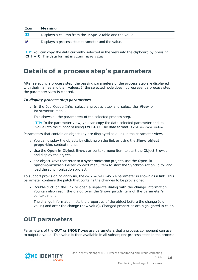| <b>Icon</b> | <b>Meaning</b>                                           |
|-------------|----------------------------------------------------------|
| 睚           | Displays a column from the Jobqueue table and the value. |
| ๒๊          | Displays a process step parameter and the value.         |

TIP: You can copy the data currently selected in the view into the clipboard by pressing **Ctrl + C**. The data format is column name value.

### <span id="page-15-0"></span>**Details of a process step's parameters**

After selecting a process step, the passing parameters of the process step are displayed with their names and their values. If the selected node does not represent a process step, the parameter view is cleared.

### *To display process step parameters*

<sup>l</sup> In the Job Queue Info, select a process step and select the **View > Parameter** menu.

This shows all the parameters of the selected process step.

TIP: In the parameter view, you can copy the data selected parameter and its value into the clipboard using **Ctrl + C**. The data format is column name value.

Parameters that contain an object key are displayed as a link in the parameter view.

- <sup>l</sup> You can display the objects by clicking on the link or using the **Show object properties** context menu.
- <sup>l</sup> Use the **Open in Object Browser** context menu item to start the Object Browser and display the object.
- <sup>l</sup> For object keys that refer to a synchronization project, use the **Open in Synchronization Editor** context menu item to start the Synchronization Editor and load the synchronization project.

To support provisioning analysis, the CausingEntityPatch parameter is shown as a link. This parameter contains the patch that contains the changes to be provisioned.

• Double-click on the link to open a separate dialog with the change information. You can also reach the dialog over the **Show patch** item of the parameter's context menu.

The change information lists the properties of the object before the change (old value) and after the change (new value). Changed properties are highlighted in color.

### <span id="page-15-1"></span>**OUT parameters**

Parameters of the **OUT** or **INOUT** type are parameters that a process component can use to output a value. This value is then available in all subsequent process steps in the process

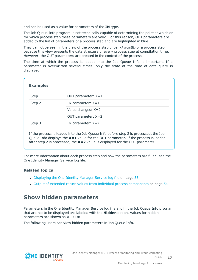and can be used as a value for parameters of the **IN** type.

The Job Queue Info program is not technically capable of determining the point at which or for which process step these parameters are valid. For this reason, OUT parameters are added to the list of parameters of a process step and are highlighted in blue.

They cannot be seen in the view of the process step under <ParamIN> of a process step because this view presents the data structure of every process step at compilation time. However, the OUT parameters are created in the context of the process.

The time at which the process is loaded into the Job Queue Info is important. If a parameter is overwritten several times, only the state at the time of data query is displayed.

| <b>Example:</b> |                                                                                      |
|-----------------|--------------------------------------------------------------------------------------|
| Step 1          | OUT parameter: $X=1$                                                                 |
| Step 2          | IN parameter: $X=1$                                                                  |
|                 | Value changes: $X = 2$                                                               |
|                 | OUT parameter: $X=2$                                                                 |
| Step 3          | IN parameter: $X=2$                                                                  |
|                 | If the process is loaded into the Job Queue Info before step 2 is processed, the Job |

Queue Info displays the **X=1** value for the OUT parameter. If the process is loaded after step 2 is processed, the **X=2** value is displayed for the OUT parameter.

For more information about each process step and how the parameters are filled, see the One Identity Manager Service log file.

### **Related topics**

- [Displaying](#page-32-0) the One Identity Manager Service log file on page 33
- Output of extended return values from individual process [components](#page-53-0) on page 54

### <span id="page-16-0"></span>**Show hidden parameters**

Parameters in the One Identity Manager Service log file and in the Job Queue Info program that are not to be displayed are labeled with the **Hidden** option. Values for hidden parameters are shown as <HIDDEN>.

The following users can view hidden parameters in Job Queue Info.

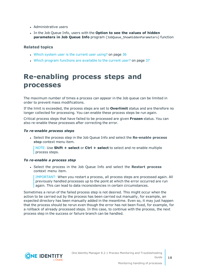- Administrative users
- <sup>l</sup> In the Job Queue Info, users with the **Option to see the values of hidden parameters in Job Queue Info** program (JobQueue\_ShowHiddenParameters) function

### **Related topics**

- Which system user is the [current](#page-35-0) user using? on page 36
- Which program functions are [available](#page-36-1) to the current user? on page 37

## <span id="page-17-0"></span>**Re-enabling process steps and processes**

The maximum number of times a process can appear in the Job queue can be limited in order to prevent mass modifications.

If the limit is exceeded, the process steps are set to **Overlimit** status and are therefore no longer collected for processing. You can enable these process steps be run again.

Critical process steps that have failed to be processed are given **Frozen** status. You can also re-enable these processes after correcting the error.

#### *To re-enable process steps*

<sup>l</sup> Select the process step in the Job Queue Info and select the **Re-enable process step** context menu item.

NOTE: Use **Shift + select** or **Ctrl + select** to select and re-enable multiple process steps.

### *To re-enable a process step*

<sup>l</sup> Select the process in the Job Queue Info and select the **Restart process** context menu item.

IMPORTANT: When you restart a process, all process steps are processed again. All previously handled processes up to the point at which the error occurred are run again. This can lead to data inconsistencies in certain circumstances.

Sometimes a rerun of the failed process step is not desired. This might occur when the action to be carried out by the process has been carried out manually, for example, an expected directory has been manually added in the meantime. Even so, it may just happen that the process should be rerun even though the error has not been fixed, for example, for a rollback of already processed steps. In this case, to continue with the process, the next process step in the success or failure branch can be handled.

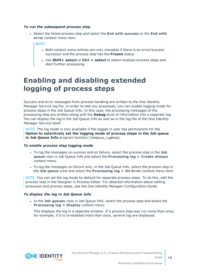#### *To run the subsequent process step*

<sup>l</sup> Select the failed process step and select the **End with success** or the **End with error** context menu item.

NOTE:

- Both context menu entries are only viewable if there is an error/success successor and the process step has the **Frozen** status.
- <sup>l</sup> Use **Shift+ select** or **Ctrl + select** to select multiple process steps and start further processing.

## <span id="page-18-0"></span>**Enabling and disabling extended logging of process steps**

Success and error messages from process handling are written to the One Identity Manager Service log file. In order to test you processes, you can enable logging mode for process steps in the Job Queue Info. In this case, the processing messages of the processing step are written along with the **Debug** level of information into a separate log. You can display the log in the Job Queue Info as well as in the log file of the One Identity Manager Service itself.

NOTE: The log mode is only available if the logged in user has permissions for the **Option to selectively set the logging mode of process steps in the Job queue in Job Queue Info** program function (JobQueue\_LogMode).

#### *To enable process step logging mode*

- <sup>l</sup> To log the messages on success and on failure, select the process step in the **Job queue** view in Job Queue Info and select the **Processing log > Create always** context menu.
- To log the messages on failure only, in the Job Queue Info, select the process step in the **Job queue** view and select the **Processing log > On Error** context menu item.

NOTE: You can set the log mode by default for separate process steps. To do this, edit the process step in the Designer in Process Editor. For detailed information about editing processes and process steps, see the *One Identity Manager Configuration Guide*.

### *To display the log in Job Queue Info*

<sup>l</sup> In the **Job queues** view in Job Queue Info, select the process step and select the **Processing log > Display** context menu.

This displays the log in a separate window. If a process step was run more than once, for example, if it is re-enabled more than once, several log are displayed.

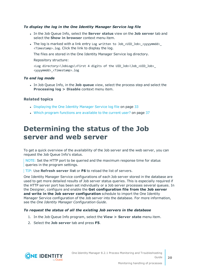### *To display the log in the One Identity Manager Service log file*

- <sup>l</sup> In the Job Queue Info, select the **Server status** view on the **Job server** tab and select the **Show in browser** context menu item.
- The log is marked with a link entry Log written to Job\_<UID\_Job>\_<yyyymmdd>\_ <Timestamp>.log. Click the link to display the log.

The files are stored in the One Identity Manager Service log directory.

Repository structure:

```
<Log directory>\JobLogs\<First 4 digits of the UID_Job>\Job_<UID_Job>_
<yyyymmdd>_<Timestamp>.log
```
### *To end log mode*

<sup>l</sup> In Job Queue Info, in the **Job queue** view, select the process step and select the **Processing log > Disable** context menu item.

### **Related topics**

- [Displaying](#page-32-0) the One Identity Manager Service log file on page 33
- . Which program functions are [available](#page-36-1) to the current user? on page 37

## <span id="page-19-0"></span>**Determining the status of the Job server and web server**

To get a quick overview of the availability of the Job server and the web server, you can request the Job Queue Info's status.

NOTE: Set the HTTP port to be queried and the maximum response time for status queries in the program settings.

TIP: Use **Refresh server list** or **F6** to reload the list of servers.

One Identity Manager Service configurations of each Job server stored in the database are used to get more detailed results of Job server status queries. This is especially required if the HTTP server port has been set individually or a Job server processes several queues. In the Designer, configure and enable the **Get configuration file from the Job server and write in the Job server configuration** schedule to import the One Identity Manager Service configuration of the Job server into the database. For more information, see the *One Identity Manager Configuration Guide*.

### *To request the status of all the existing Job servers in the database*

- 1. In the Job Queue Info program, select the **View > Server state** menu item.
- 2. Select the **Job server** tab and press **F5**.

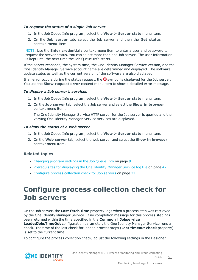#### *To request the status of a single Job server*

- 1. In the Job Queue Info program, select the **View > Server state** menu item.
- 2. On the **Job server** tab, select the Job server and then the **Get status** context menu item.

NOTE: Use the **Enter credentials** context menu item to enter a user and password to request the server status. You can select more than one Job server. The user information is kept until the next time the Job Queue Info starts.

If the server responds, the system time, the One Identity Manager Service version, and the One Identity Manager Service account name are determined and displayed. The software update status as well as the current version of the software are also displayed.

If an error occurs during the status request, the  $\Omega$  symbol is displayed for the Job server. You use the **Show request error** context menu item to show a detailed error message.

#### *To display a Job server's services*

- 1. In the Job Queue Info program, select the **View > Server state** menu item.
- 2. On the **Job server** tab, select the Job server and select the **Show in browser** context menu item.

The One Identity Manager Service HTTP server for the Job server is queried and the varying One Identity Manager Service services are displayed.

#### *To show the status of a web server*

- 1. In the Job Queue Info program, select the **View > Server state** menu item.
- 2. On the **Web server** tab, select the web server and select the **Show in browser** context menu item.

#### **Related topics**

- [Changing](#page-8-1) program settings in the Job Queue Info on page 9
- [Prerequisites](#page-46-0) for displaying the One Identity Manager Service log file on page 47
- <span id="page-20-0"></span>• [Configure](#page-20-0) process collection check for Job servers on page 21

## **Configure process collection check for Job servers**

On the Job server, the **Last fetch time** property logs when a process step was retrieved by the One Identity Manager Service. If no completion message for this process step has been returned within the time specified in the **Common | Jobservice |**

**LoadedJobsTimeOut** configuration parameter, the One Identity Manager Service runs a check. The time of the last check for loaded process steps (**Last timeout check** property) is set to the current time.

To configure the process collection check, adjust the following settings in the Designer.

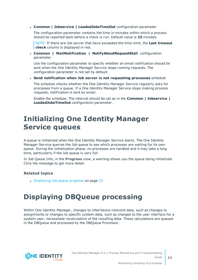<sup>l</sup> **Common | Jobservice | LoadedJobsTimeOut** configuration parameter

The configuration parameter contains the time in minutes within which a process should be reported back before a check is run. Default value is **15** minutes.

NOTE: If there are Job server that have exceeded the time limit, the **Last timeout check** column is displayed in red.

<sup>l</sup> **Common | MailNotification | NotifyAboutRequestStall** configuration parameter

Use the configuration parameter to specify whether an email notification should be sent when the One Identity Manager Service stops running requests. The configuration parameter is not set by default.

<sup>l</sup> **Send notification when Job server is not requesting processes** schedule

The schedule checks whether the One Identity Manager Service regularly asks for processes from a queue. If a One Identity Manager Service stops making process requests, notification is sent by email.

Enable the schedule. The interval should be set as in the **Common | Jobservice | LoadedJobsTimeOut** configuration parameter.

## <span id="page-21-0"></span>**Initializing One Identity Manager Service queues**

A queue is initialized when the One Identity Manager Service starts. The One Identity Manager Service queries the Job queue to see which processes are waiting for its own queue. During the initialization phase, no processes are handled and it may take a long time, particularly if the Job queue is very full.

In Job Queue Info, in the **Progress** view, a warning shows you the queue being initialized. Click the message to get more detail.

### **Related topics**

• [Displaying](#page-22-0) Job queue progress on page 23

## <span id="page-21-1"></span>**Displaying DBQueue processing**

Within One Identity Manager, changes to inheritance-relevant data, such as changes to assignments or changes to specific system data, such as changes to the user interface for a system user, necessitate recalculation of the resulting data. These calculations are queued in the DBQueue and processed by the DBQueue Processor.

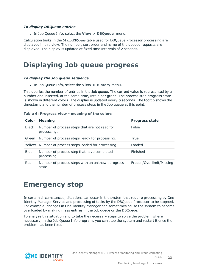### *To display DBQueue entries*

<sup>l</sup> In Job Queue Info, select the **View > DBQueue** menu.

Calculation tasks in the DialogDBQueue table used for DBQueue Processor processing are displayed in this view. The number, sort order and name of the queued requests are displayed. The display is updated at fixed time intervals of 2 seconds.

## <span id="page-22-0"></span>**Displaying Job queue progress**

#### *To display the Job queue sequence*

<sup>l</sup> In Job Queue Info, select the **View > History** menu.

This queries the number of entries in the Job queue. The current value is represented by a number and inserted, at the same time, into a bar graph. The process step progress state is shown in different colors. The display is updated every **5** seconds. The tooltip shows the timestamp and the number of process steps in the Job queue at this point.

### **Color Meaning Progress state** Black Number of process steps that are not read for processing. False Green Number of process steps ready for processing. True Yellow Number of process steps loaded for processing. Loaded Blue Number of process step that have completed processing Finished Red Number of process steps with an unknown progress state Frozen/Overlimit/Missing

#### **Table 6: Progress view - meaning of the colors**

### <span id="page-22-1"></span>**Emergency stop**

In certain circumstances, situations can occur in the system that require processing by One Identity Manager Service and processing of tasks by the DBQueue Processor to be stopped. For example, changes in One Identity Manager can sometimes cause the system to become overloaded by making mass entries in the Job queue or the DBQueue.

To analyze this situation and to take the necessary steps to solve the problem where necessary, in the Job Queue Info program, you can stop the system and restart it once the problem has been fixed.



**23**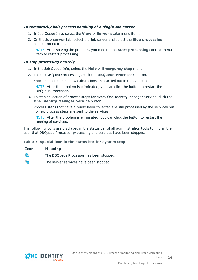### *To temporarily halt process handling of a single Job server*

- 1. In Job Queue Info, select the **View > Server state** menu item.
- 2. On the **Job server** tab, select the Job server and select the **Stop processing** context menu item.

NOTE: After solving the problem, you can use the **Start processing** context menu item to restart processing.

### *To stop processing entirely*

- 1. In the Job Queue Info, select the **Help > Emergency stop** menu.
- 2. To stop DBQueue processing, click the **DBQueue Processor** button.

From this point on no new calculations are carried out in the database.

NOTE: After the problem is eliminated, you can click the button to restart the DBQueue Processor.

3. To stop collection of process steps for every One Identity Manager Service, click the **One Identity Manager Service** button.

Process steps that have already been collected are still processed by the services but no new process steps are sent to the services.

NOTE: After the problem is eliminated, you can click the button to restart the running of services.

The following icons are displayed in the status bar of all administration tools to inform the user that DBQueue Processor processing and services have been stopped.

### **Table 7: Special icon in the status bar for system stop**

| <b>Icon</b> | <b>Meaning</b>                          |
|-------------|-----------------------------------------|
|             | The DBQueue Processor has been stopped. |
| 囋           | The server services have been stopped.  |

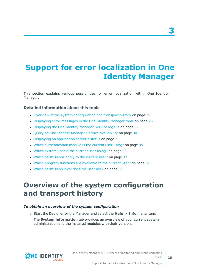# <span id="page-24-0"></span>**Support for error localization in One Identity Manager**

This section explains various possibilities for error localization within One Identity Manager.

### **Detailed information about this topic**

- Overview of the system [configuration](#page-24-1) and transport history on page 25
- [Displaying](#page-25-0) error messages in the One Identity Manager tools on page 26
- [Displaying](#page-32-0) the One Identity Manager Service log file on page 33
- Querying One Identity Manager Service [availability](#page-33-0) on page 34
- Displaying an [application](#page-34-0) server's status on page 35
- . Which [authentication](#page-34-1) module is the current user using? on page 35
- . Which system user is the [current](#page-35-0) user using? on page 36
- Which [permissions](#page-36-0) apply to the current user? on page 37
- . Which program functions are [available](#page-36-1) to the current user? on page 37
- <span id="page-24-1"></span>. Which [permission](#page-37-0) level does the user use? on page 38

## **Overview of the system configuration and transport history**

### *To obtain an overview of the system configuration*

<sup>l</sup> Start the Designer or the Manager and select the **Help > Info** menu item.

The **System information** tab provides an overview of your current system administration and the installed modules with their versions.



**3**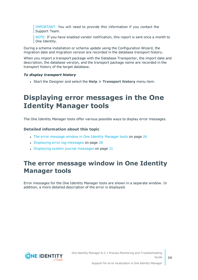IMPORTANT: You will need to provide this information if you contact the Support Team.

NOTE: If you have enabled vendor notification, this report is sent once a month to One Identity.

During a schema installation or schema update using the Configuration Wizard, the migration date and migration version are recorded in the database transport history.

When you import a transport package with the Database Transporter, the import date and description, the database version, and the transport package name are recorded in the transport history of the target database.

### *To display transport history*

<span id="page-25-0"></span><sup>l</sup> Start the Designer and select the **Help > Transport history** menu item.

## **Displaying error messages in the One Identity Manager tools**

The One Identity Manager tools offer various possible ways to display error messages.

### **Detailed information about this topic**

- The error [message](#page-25-1) window in One Identity Manager tools on page 26
- [Displaying](#page-27-0) error log messages on page 28
- $\bullet$  [Displaying](#page-30-0) system journal messages on page 31

### <span id="page-25-1"></span>**The error message window in One Identity Manager tools**

Error messages for the One Identity Manager tools are shown in a separate window. In addition, a more detailed description of the error is displayed.

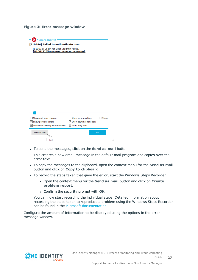### **Figure 3: Error message window**

 $\mathbf{X}$  - Errors occurred -[810284] Failed to authenticate user. [810015] Login for user viadmin failed. [810017] Wrong user name or password.

| ∽<br>Show only user relevant<br>$\vee$ Show previous errors<br>Show One Identity error numbers | Show error positions<br>Show<br>Show asynchronous calls<br>√ Wrap long lines |
|------------------------------------------------------------------------------------------------|------------------------------------------------------------------------------|
| Send as mail                                                                                   | OK                                                                           |
|                                                                                                | J.                                                                           |

<sup>l</sup> To send the messages, click on the **Send as mail** button.

This creates a new email message in the default mail program and copies over the error text.

- <sup>l</sup> To copy the messages to the clipboard, open the context menu for the **Send as mail** button and click on **Copy to clipboard**.
- To record the steps taken that gave the error, start the Windows Steps Recorder.
	- <sup>l</sup> Open the context menu for the **Send as mail** button and click on **Create problem report**.
	- <sup>l</sup> Confirm the security prompt with **OK**.

You can now start recording the individual steps. Detailed information about recording the steps taken to reproduce a problem using the Windows Steps Recorder can be found in the Microsoft [documentation](https://support.microsoft.com/en-us/help/22878/windows-10-record-steps).

Configure the amount of information to be displayed using the options in the error message window.

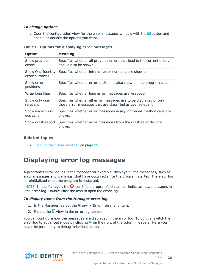### *To change options*

• Open the configuration view for the error messages window with the  $\overline{\triangledown}$  button and enable or disable the options you want.

| <b>Option</b>                      | <b>Meaning</b>                                                                                                                 |
|------------------------------------|--------------------------------------------------------------------------------------------------------------------------------|
| Show previous<br>errors            | Specifies whether all previous errors that lead to the current error,<br>should also be shown.                                 |
| Show One Identity<br>error numbers | Specifies whether internal error numbers are shown.                                                                            |
| Show error<br>positions            | Specifies whether error position is also shown in the program code.                                                            |
| Wrap long lines                    | Specifies whether long error messages are wrapped.                                                                             |
| Show only user<br>relevant         | Specifies whether all error messages are to be displayed or only<br>those error messages that are classified as user relevant. |
| Show asynchron-<br>ous calls       | Specifies whether error messages in asynchronous method calls are<br>shown.                                                    |
| Show crash report                  | Specifies whether error messages from the crash recorder are<br>shown.                                                         |

#### **Table 8: Options for displaying error messages**

### **Related topics**

• Enabling the crash [recorder](#page-54-1) on page 55

### <span id="page-27-0"></span>**Displaying error log messages**

A program's error log, as in the Manager for example, displays all the messages, such as error messages and warnings, that have occurred since the program started. The error log is reinitialized when the program is restarted.

NOTE: In the Manager, the  $\bullet$  icon in the program's status bar indicates new messages in the error log. Double-click the icon to open the error log.

#### *To display items from the Manager error log*

- 1. In the Manager, select the **View > Error log** menu item.
- 2. Enable the  $\blacksquare$  view in the error log toolbar.

You can configure how the messages are displayed in the error log. To do this, switch the error log to advanced mode by clicking  $\blacktriangleright$  on the right of the column headers. Here you have the possibility to debug individual actions.

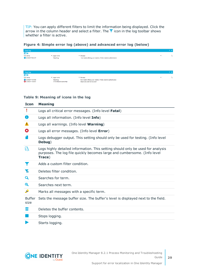TIP: You can apply different filters to limit the information being displayed. Click the arrow in the column header and select a filter. The  $\overline{Y}$  icon in the log toolbar shows whether a filter is active.

### **Figure 4: Simple error log (above) and advanced error log (below)**

| <b>Error log</b>                             |                                       |                                                                                                           | $4 \times$              |
|----------------------------------------------|---------------------------------------|-----------------------------------------------------------------------------------------------------------|-------------------------|
| 四宿                                           |                                       |                                                                                                           |                         |
| Time stamp                                   | Logger name                           | Message                                                                                                   | Ь<br>$\cdot$            |
| 22.09.2017 09:21:17                          | ObjectLog                             | User viadmin (Dialog user: viadmin, X fields: viadmin) authenticated.                                     |                         |
|                                              |                                       |                                                                                                           |                         |
| <b>Error log</b>                             |                                       |                                                                                                           | $4 \times$              |
| 回宿                                           |                                       |                                                                                                           |                         |
| Time stamp                                   | $\blacktriangleright$ Logger name     | $ightharpoonup$ Message                                                                                   | $\mathbb{P}$<br>$\cdot$ |
| 12.09.2017 16:44:03<br>3 12.09.2017 16:44:51 | ObjectLog<br>VI.FormBase.ExceptionMgr | User viadmin (Dialog user: viadmin, X fields: viadmin) authenticated.<br>Object ({0}) could not be saved! |                         |

### **Table 9: Meaning of icons in the log**

| <b>Icon</b>           | <b>Meaning</b>                                                                                                                                                        |
|-----------------------|-----------------------------------------------------------------------------------------------------------------------------------------------------------------------|
|                       | Logs all critical error messages. (Info level Fatal)                                                                                                                  |
| Ħ                     | Logs all information. (Info level Info)                                                                                                                               |
| ┻                     | Logs all warnings. (Info level Warning)                                                                                                                               |
| Ø                     | Logs all error messages. (Info level Error)                                                                                                                           |
|                       | Logs debugger output. This setting should only be used for testing. (Info level<br>Debug)                                                                             |
| k                     | Logs highly detailed information. This setting should only be used for analysis<br>purposes. The log file quickly becomes large and cumbersome. (Info level<br>Trace) |
|                       | Adds a custom filter condition.                                                                                                                                       |
| Y.                    | Deletes filter condition.                                                                                                                                             |
| Q                     | Searches for term.                                                                                                                                                    |
| Q                     | Searches next term.                                                                                                                                                   |
| A                     | Marks all messages with a specific term.                                                                                                                              |
| <b>Buffer</b><br>size | Sets the message buffer size. The buffer's level is displayed next to the field.                                                                                      |
| Ш                     | Deletes the buffer contents.                                                                                                                                          |
|                       | Stops logging.                                                                                                                                                        |
|                       | Starts logging.                                                                                                                                                       |



**29**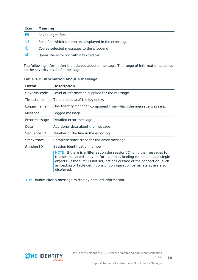| <b>Icon</b> | <b>Meaning</b>                                         |
|-------------|--------------------------------------------------------|
| E.          | Saves log to file.                                     |
|             | Specifies which column are displayed in the error log. |
| g.          | Copies selected messages to the clipboard.             |
| И           | Opens the error log with a text editor.                |

The following information is displayed about a message. The range of information depends on the severity level of a message.

| Detail        | <b>Description</b>                                                                                                                                                                                                                                                                                                                                        |
|---------------|-----------------------------------------------------------------------------------------------------------------------------------------------------------------------------------------------------------------------------------------------------------------------------------------------------------------------------------------------------------|
| Severity code | Level of information supplied for the message.                                                                                                                                                                                                                                                                                                            |
| Timestamp     | Time and date of the log entry.                                                                                                                                                                                                                                                                                                                           |
| Logger name   | One Identity Manager component from which the message was sent.                                                                                                                                                                                                                                                                                           |
| Message       | Logged message.                                                                                                                                                                                                                                                                                                                                           |
| Error Message | Detailed error message.                                                                                                                                                                                                                                                                                                                                   |
| Data          | Additional data about the message.                                                                                                                                                                                                                                                                                                                        |
| Sequence ID   | Number of the line in the error log.                                                                                                                                                                                                                                                                                                                      |
| Stack trace   | Complete stack trace for the error message.                                                                                                                                                                                                                                                                                                               |
| Session ID    | Session identification number.<br>NOTE: If there is a filter set on the session ID, only the messages for<br>this session are displayed, for example, loading collections and single<br>objects. If the filter is not set, actions outside of the connection, such<br>as loading of table definitions or configuration parameters, are also<br>displayed. |
|               |                                                                                                                                                                                                                                                                                                                                                           |

### **Table 10: Information about a message**

TIP: Double-click a message to display detailed information.

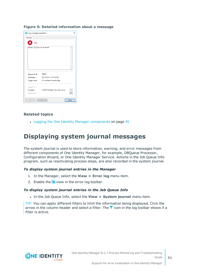#### **Figure 5: Detailed information about a message**

| tog message properties                 |                                      | $\times$    |
|----------------------------------------|--------------------------------------|-------------|
| General                                |                                      |             |
| х<br>Error                             |                                      |             |
| Object ( ()) could not be saved!       |                                      |             |
|                                        |                                      |             |
|                                        |                                      |             |
| Sequence ID 16643                      |                                      |             |
| Timestamp                              | 2017-09-22 11:51:52:961              |             |
|                                        | Logger name VI.FormBase.ExceptionMgr |             |
| Session ID<br>Exception<br>Stack trace | [1025012] Object ( ()) could not be  | $\sim$<br>. |
| $\prec$                                | ×                                    | Close       |

### **Related topics**

<span id="page-30-0"></span>• Logging the One Identity Manager [components](#page-44-0) on page 45

### **Displaying system journal messages**

The system journal is used to store information, warning, and error messages from different components of One Identity Manager, for example, DBQueue Processor, Configuration Wizard, or One Identity Manager Service. Actions in the Job Queue Info program, such as reactivating process steps, are also recorded in the system journal.

#### *To display system journal entries in the Manager*

- 1. In the Manager, select the **View > Error log** menu item.
- 2. Enable the  $\mathbf{E}$  view in the error log toolbar.

#### *To display system journal entries in the Job Queue Info*

<sup>l</sup> In the Job Queue Info, select the **View > System journal** menu item.

TIP: You can apply different filters to limit the information being displayed. Click the arrow in the column header and select a filter. The  $\blacktriangledown$  icon in the log toolbar shows if a filter is active.

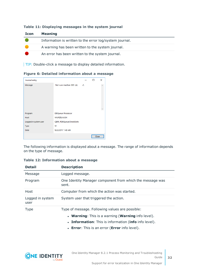| <b>Icon</b> | <b>Meaning</b>                                          |
|-------------|---------------------------------------------------------|
|             | Information is written to the error log/system journal. |
|             | A warning has been written to the system journal.       |
|             | An error has been written to the system journal.        |

### **Table 11: Displaying messages in the system journal**

TIP: Double-click a message to display detailed information.

### **Figure 6: Detailed information about a message**

| Journal entry         |                             |       | п     | × |
|-----------------------|-----------------------------|-------|-------|---|
| Message               | Slot sure inactive: 003 (A) | $-2.$ |       |   |
|                       |                             |       |       |   |
|                       |                             |       |       |   |
|                       |                             |       |       |   |
|                       |                             |       |       |   |
|                       |                             |       |       |   |
| Program               | <b>DBQueue Processor</b>    |       |       |   |
| Host                  | <b>WURZELAUSIX</b>          |       |       |   |
| Logged in system user | QBM_PDBQueueCheckSlots      |       |       |   |
| Type                  | W                           |       |       |   |
| Date                  | 9/22/2017 1:43 AM           |       |       |   |
|                       |                             |       | Close |   |

The following information is displayed about a message. The range of information depends on the type of message.

| <b>Detail</b>            | <b>Description</b>                                                                                                 |
|--------------------------|--------------------------------------------------------------------------------------------------------------------|
| Message                  | Logged message.                                                                                                    |
| Program                  | One Identity Manager component from which the message was<br>sent.                                                 |
| Host                     | Computer from which the action was started.                                                                        |
| Logged in system<br>user | System user that triggered the action.                                                                             |
| <b>Type</b>              | Type of message. Following values are possible:<br><b>Warning:</b> This is a warning ( <b>Warning</b> info level). |
|                          | • Information: This is information (info info level).                                                              |
|                          |                                                                                                                    |

### **Table 12: Information about a message**



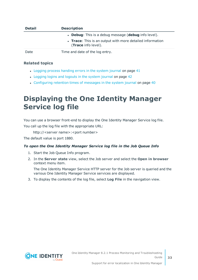| <b>Detail</b> | <b>Description</b>                                                               |
|---------------|----------------------------------------------------------------------------------|
|               | • Debug: This is a debug message (debug info level).                             |
|               | • Trace: This is an output with more detailed information<br>(Trace info level). |
| Date          | Time and date of the log entry.                                                  |

### **Related topics**

- Logging process [handing](#page-40-0) errors in the system journal on page 41
- [Logging](#page-41-0) logins and logouts in the system journal on page 42
- [Configuring](#page-39-1) retention times of messages in the system journal on page 40

# <span id="page-32-0"></span>**Displaying the One Identity Manager Service log file**

You can use a browser front-end to display the One Identity Manager Service log file. You call up the log file with the appropriate URL:

http://<server name>:<port number>

The default value is port 1880.

### *To open the One Identity Manager Service log file in the Job Queue Info*

- 1. Start the Job Queue Info program.
- 2. In the **Server state** view, select the Job server and select the **Open in browser** context menu item.

The One Identity Manager Service HTTP server for the Job server is queried and the various One Identity Manager Service services are displayed.

3. To display the contents of the log file, select **Log File** in the navigation view.

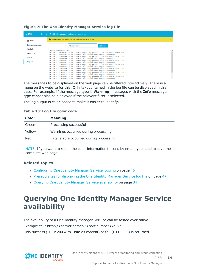|                          | <b>ONE IDENTITY</b> One Identity Manager Job Service - AEDOKU-DC                                                                                               |        |
|--------------------------|----------------------------------------------------------------------------------------------------------------------------------------------------------------|--------|
| <b>N</b> Home            | Warning: No private key supplied. Running without encryption support.<br>A                                                                                     |        |
| <b>Loaded Assemblies</b> | <b>C</b> Refresh<br>All information<br>$\checkmark$                                                                                                            |        |
| <b>Statistics</b>        | Logging severity: Info.                                                                                                                                        | $\sim$ |
| <b>Components</b>        | 2017-09-12 00:00:07 +02:00 - Info: Requesting process steps for queue \AEDOKU-DC.<br>2017-09-12 00:00:07 +02:00 - Info: Last process step request succeeded.   |        |
| Cache                    | 2017-09-12 00:00:09 +02:00 - Info: Requesting process steps for queue \WURZELAUSIX.<br>2017-09-12 00:00:09 +02:00 - Info: Last process step request succeeded. |        |
| <b>Log File</b>          | 2017-09-12 00:00:24 +02:00 - Info: Requesting process steps for queue \WURZELAUSIX.<br>2017-09-12 00:00:24 +02:00 - Info: Last process step request succeeded. |        |
|                          | 2017-09-12 00:00:37 +02:00 - Info: Requesting process steps for queue \AEDOKU-DC.<br>2017-09-12 00:00:37 +02:00 - Info: Last process step request succeeded.   |        |
|                          | 2017-09-12 00:00:39 +02:00 - Info: Requesting process steps for queue \WURZELAUSIX.                                                                            |        |
|                          | 2017-09-12 00:00:39 +02:00 - Info: Last process step request succeeded.                                                                                        |        |
|                          | 2017-09-12 00:00:54 +02:00 - Info: Requesting process steps for queue \WURZELAUSIX.<br>2017-09-12 00:00:54 +02:00 - Info: Last process step request succeeded. |        |
|                          | 2017-09-12 00:01:07 +02:00 - Info: Requesting process steps for queue \AEDOKU-DC.<br>has an in carbian Teler researches that and the money of the constant     |        |

### **Figure 7: The One Identity Manager Service log file**

The messages to be displayed on the web page can be filtered interactively. There is a menu on the website for this. Only text contained in the log file can be displayed in this case. For example, if the message type is **Warning**, messages with the **Info** message type cannot also be displayed if the relevant filter is selected.

The log output is color-coded to make it easier to identify.

#### **Table 13: Log file color code**

| Color  | <b>Meaning</b>                          |
|--------|-----------------------------------------|
| Green  | Processing successful                   |
| Yellow | Warnings occurred during processing     |
| Red    | Fatal errors occurred during processing |

NOTE: If you want to retain the color information to send by email, you need to save the complete web page.

### **Related topics**

- [Configuring](#page-45-0) One Identity Manager Service logging on page 46
- [Prerequisites](#page-46-0) for displaying the One Identity Manager Service log file on page 47
- Querying One Identity Manager Service [availability](#page-33-0) on page 34

## <span id="page-33-0"></span>**Querying One Identity Manager Service availability**

The availability of a One Identity Manager Service can be tested over /alive. Example call: http://<server name>:<port number>/alive Only success (HTTP 200 with **True** as content) or fail (HTTP 500) is returned.

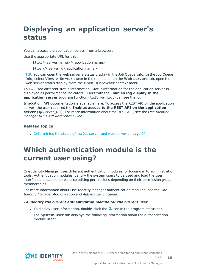# <span id="page-34-0"></span>**Displaying an application server's status**

You can access the application server from a browser.

Use the appropriate URL for this:

http://<server name>/<application name>

https://<server>/<application name>

TIP: You can open the web server's status display in the Job Queue Info. In the Job Queue Info, select **View > Server state** in the menu and, on the **Web servers** tab, open the web server status display from the **Open in browser** context menu.

You will see different status information. Status information for the application server is displayed as performance indicators. Users with the **Enables log display in the application server** program function (AppServer Logs) can see the log.

In addition, API documentation is available here. To access the REST API on the application server, the user required the **Enables access to the REST API on the application server** (AppServer\_API). For more information about the REST API, see the *One Identity Manager REST API Reference Guide*

### **Related topics**

• [Determining](#page-19-0) the status of the Job server and web server on page 20

## <span id="page-34-1"></span>**Which authentication module is the current user using?**

One Identity Manager uses different authentication modules for logging in to administration tools. Authentication modules identify the system users to be used and load the user interface and database resource editing permissions depending on their permission group memberships.

For more information about One Identity Manager authentication modules, see the *One Identity Manager Authorization and Authentication Guide*.

### *To identify the current authentication module for the current user*

- I To display user information, double-click the  $\triangle$  icon in the program status bar.
	- The **System user** tab displays the following information about the authentication module used:

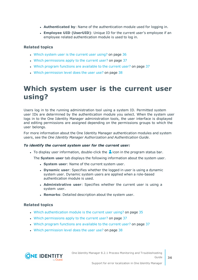- **Authenticated by**: Name of the authentication module used for logging in.
- <sup>l</sup> **Employee UID (UserUID)**: Unique ID for the current user's employee if an employee related authentication module is used to log in.

### **Related topics**

- Which system user is the [current](#page-35-0) user using? on page 36
- Which [permissions](#page-36-0) apply to the current user? on page 37
- Which program functions are [available](#page-36-1) to the current user? on page 37
- . Which [permission](#page-37-0) level does the user use? on page 38

## <span id="page-35-0"></span>**Which system user is the current user using?**

Users log in to the running administration tool using a system ID. Permitted system user IDs are determined by the authentication module you select. When the system user logs in to the One Identity Manager administration tools, the user interface is displayed and editing permissions are assigned depending on the permissions groups to which the user belongs.

For more information about the One Identity Manager authentication modules and system users, see the *One Identity Manager Authorization and Authentication Guide*.

#### *To identify the current system user for the current user:*

To display user information, double-click the  $\triangle$  icon in the program status bar.

The **System user** tab displays the following information about the system user.

- **.** System user: Name of the current system user.
- **.** Dynamic user: Specifies whether the logged in user is using a dynamic system user. Dynamic system users are applied when a role-based authentication module is used.
- **Administrative user:** Specifies whether the current user is using a system user.
- **Remarks:** Detailed description about the system user.

### **Related topics**

- Which [authentication](#page-34-1) module is the current user using? on page 35
- . Which [permissions](#page-36-0) apply to the current user? on page 37
- Which program functions are [available](#page-36-1) to the current user? on page 37
- Which [permission](#page-37-0) level does the user use? on page 38

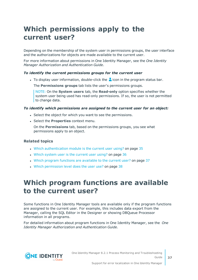# <span id="page-36-0"></span>**Which permissions apply to the current user?**

Depending on the membership of the system user in permissions groups, the user interface and the authorizations for objects are made available to the current user.

For more information about permissions in One Identity Manager, see the *One Identity Manager Authorization and Authentication Guide*.

### *To identify the current permissions groups for the current user*

I To display user information, double-click the  $\triangle$  icon in the program status bar.

The **Permissions groups** tab lists the user's permissions groups.

NOTE: On the **System users** tab, the **Read-only** option specifies whether the system user being used has read-only permissions. If so, the user is not permitted to change data.

### *To identify which permissions are assigned to the current user for an object:*

- Select the object for which you want to see the permissions.
- **.** Select the **Properties** context menu.

On the **Permissions** tab, based on the permissions groups, you see what permissions apply to an object.

### **Related topics**

- . Which [authentication](#page-34-1) module is the current user using? on page 35
- Which system user is the [current](#page-35-0) user using? on page 36
- . Which program functions are [available](#page-36-1) to the current user? on page 37
- <span id="page-36-1"></span>. Which [permission](#page-37-0) level does the user use? on page 38

## **Which program functions are available to the current user?**

Some functions in One Identity Manager tools are available only if the program functions are assigned to the current user. For example, this includes data export from the Manager, calling the SQL Editor in the Designer or showing DBQueue Processor information in all programs.

For detailed information about program functions in One Identity Manager, see the *One Identity Manager Authorization and Authentication Guide*.

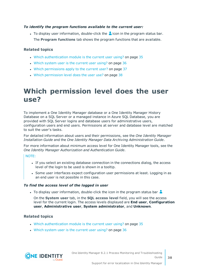### *To identify the program functions available to the current user:*

To display user information, double-click the  $\triangle$  icon in the program status bar. The **Program functions** tab shows the program functions that are available.

### **Related topics**

- . Which [authentication](#page-34-1) module is the current user using? on page 35
- Which system user is the [current](#page-35-0) user using? on page 36
- Which [permissions](#page-36-0) apply to the current user? on page 37
- . Which [permission](#page-37-0) level does the user use? on page 38

## <span id="page-37-0"></span>**Which permission level does the user use?**

To implement a One Identity Manager database or a One Identity Manager History Database on a SQL Server or a managed instance in Azure SQL Database, you are provided with SQL Server logins and database users for administrative users, configuration users and end users. Permissions at server and database level are matched to suit the user's tasks.

For detailed information about users and their permissions, see the *One Identity Manager Installation Guide* and the *One Identity Manager Data Archiving Administration Guide*.

For more information about minimum access level for One Identity Manager tools, see the *One Identity Manager Authorization and Authentication Guide*.

### NOTE:

- If you select an existing database connection in the connections dialog, the access level of the login to be used is shown in a tooltip.
- Some user interfaces expect configuration user permissions at least. Logging in as an end user is not possible in this case.

### *To find the access level of the logged in user*

If To display user information, double-click the icon in the program status bar

On the **System user** tab, in the **SQL access level** field, you will see the access level for the current login. The access levels displayed are **End user**, **Configuration user**, **Administrative user**, **System administrator**, and **Unknown**.

### **Related topics**

- . Which [authentication](#page-34-1) module is the current user using? on page 35
- Which system user is the [current](#page-35-0) user using? on page 36

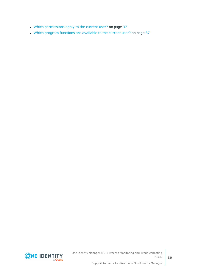- Which [permissions](#page-36-0) apply to the current user? on page 37
- Which program functions are [available](#page-36-1) to the current user? on page 37



**39**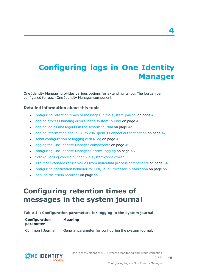# <span id="page-39-0"></span>**Configuring logs in One Identity Manager**

One Identity Manager provides various options for extending its log. The log can be configured for each One Identity Manager component.

### **Detailed information about this topic**

- [Configuring](#page-39-1) retention times of messages in the system journal on page 40
- $\cdot$  Logging process [handing](#page-40-0) errors in the system journal on page 41
- [Logging](#page-41-0) logins and logouts in the system journal on page 42
- Logging information about OAuth 2.0/OpenID Connect [authentication](#page-41-1) on page 42
- Global [configuration](#page-42-0) of logging with NLog on page 43
- Logging the One Identity Manager [components](#page-44-0) on page 45
- [Configuring](#page-45-0) One Identity Manager Service logging on page 46
- Protokollierung von Meldungen Zielsystemkonnektoren
- Output of extended return values from individual process [components](#page-53-0) on page 54
- Configuring notification behavior for DBQueue Processor [initialization](#page-54-0) on page 55
- <span id="page-39-1"></span>• Enabling the crash [recorder](#page-54-1) on page 55

### **Configuring retention times of messages in the system journal**

#### **Table 14: Configuration parameters for logging in the system journal**

| Configuration | <b>Meaning</b> |  |
|---------------|----------------|--|
| parameter     |                |  |
|               |                |  |

Common | Journal General parameter for configuring the system journal.



**4**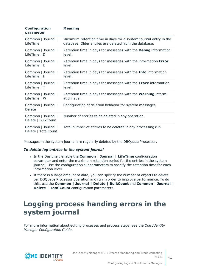| Configuration<br>parameter                | <b>Meaning</b>                                                        |
|-------------------------------------------|-----------------------------------------------------------------------|
| Common   Journal                          | Maximum retention time in days for a system journal entry in the      |
| LifeTime                                  | database. Older entries are deleted from the database.                |
| Common   Journal                          | Retention time in days for messages with the <b>Debug</b> information |
| LifeTime   D                              | level.                                                                |
| Common   Journal                          | Retention time in days for messages with the information Error        |
| LifeTime $ E$                             | level.                                                                |
| Common   Journal                          | Retention time in days for messages with the <b>Info</b> information  |
| LifeTime $ I $                            | level.                                                                |
| Common   Journal                          | Retention time in days for messages with the Trace information        |
| LifeTime   T                              | level.                                                                |
| Common   Journal                          | Retention time in days for messages with the <b>Warning</b> inform-   |
| LifeTime   W                              | ation level.                                                          |
| Common   Journal  <br>Delete              | Configuration of deletion behavior for system messages.               |
| Common   Journal  <br>Delete   BulkCount  | Number of entries to be deleted in any operation.                     |
| Common   Journal  <br>Delete   TotalCount | Total number of entries to be deleted in any processing run.          |

Messages in the system journal are regularly deleted by the DBQueue Processor.

#### *To delete log entries in the system journal*

- <sup>l</sup> In the Designer, enable the **Common | Journal | LifeTime** configuration parameter and enter the maximum retention period for the entries in the system journal. Use the configuration subparameters to specify the retention time for each information level.
- If there is a large amount of data, you can specify the number of objects to delete per DBQueue Processor operation and run in order to improve performance. To do this, use the **Common | Journal | Delete | BulkCount** and **Common | Journal | Delete | TotalCount** configuration parameters.

## <span id="page-40-0"></span>**Logging process handing errors in the system journal**

For more information about editing processes and process steps, see the *One Identity Manager Configuration Guide*.

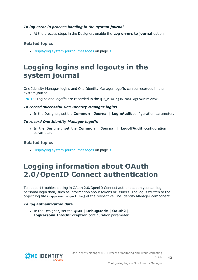### *To log error in process handing in the system journal*

<sup>l</sup> At the process steps in the Designer, enable the **Log errors to journal** option.

### **Related topics**

 $\bullet$  [Displaying](#page-30-0) system journal messages on page 31

## <span id="page-41-0"></span>**Logging logins and logouts in the system journal**

One Identity Manager logins and One Identity Manager logoffs can be recorded in the system journal.

NOTE: Logins and logoffs are recorded in the QBM\_VDialogJournalLoginAudit view.

### *To record successful One Identity Manager logins*

<sup>l</sup> In the Designer, set the **Common | Journal | LoginAudit** configuration parameter.

### *To record One Identity Manager logoffs*

<sup>l</sup> In the Designer, set the **Common | Journal | LogoffAudit** configuration parameter.

### **Related topics**

 $\bullet$  [Displaying](#page-30-0) system journal messages on page 31

## <span id="page-41-1"></span>**Logging information about OAuth 2.0/OpenID Connect authentication**

To support troubleshooting in OAuth 2.0/OpenID Connect authentication you can log personal login data, such as information about tokens or issuers. The log is written to the object log file (<appName>\_object.log) of the respective One Identity Manager component.

### *To log authentication data*

<sup>l</sup> In the Designer, set the **QBM | DebugMode | OAuth2 | LogPersonalInfoOnException** configuration parameter.

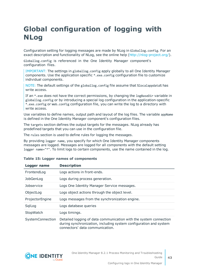# <span id="page-42-0"></span>**Global configuration of logging with NLog**

Configuration setting for logging messages are made by NLog in Globallog.config. For an exact description and functionality of NLog, see the online help [\(http://nlog-project.org/\)](http://nlog-project.org/).

Globallog.config is referenced in the One Identity Manager component's configuration files.

IMPORTANT: The settings in globallog.config apply globally to all One Identity Manager components. Use the application specific \*.exe.config configuration file to customize individual components.

NOTE: The default settings of the globallog.config file assume that %localappdata% has write access.

If an \*.exe does not have the correct permissions, by changing the logBaseDir variable in globallog.config or by introducing a special log configuration in the application-specific \*.exe.config or Web.config configuration file, you can write the log to a directory with write access.

Use variables to define names, output path and layout of the log files. The variable appName is defined in the One Identity Manager component's configuration files.

The targets section defines the output targets for the messages. NLog already has predefined targets that you can use in the configuration file.

The rules section is used to define rules for logging the messages.

By providing logger name, you specify for which One Identity Manager components messages are logged. Messages are logged for all components with the default setting logger name="\*". To limit logs to certain components, use the name contained in the log.

| Logger name       | <b>Description</b>                                                                                                                                                        |
|-------------------|---------------------------------------------------------------------------------------------------------------------------------------------------------------------------|
| FrontendLog       | Logs actions in front-ends.                                                                                                                                               |
| JobGenLog         | Logs during process generation.                                                                                                                                           |
| <b>Jobservice</b> | Logs One Identity Manager Service messages.                                                                                                                               |
| ObjectLog         | Logs object actions through the object level.                                                                                                                             |
| ProjectorEngine   | Logs messages from the synchronization engine.                                                                                                                            |
| SqlLog            | Logs database queries                                                                                                                                                     |
| StopWatch         | Logs timings.                                                                                                                                                             |
| SystemConnection  | Detailed logging of data communication with the system connection<br>during synchronization, including system configuration and system<br>connectors' data communication. |

#### **Table 15: Logger names of components**

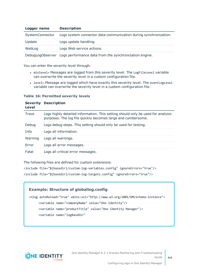| Logger name     | <b>Description</b>                                               |
|-----------------|------------------------------------------------------------------|
| SystemConnector | Logs system connector data communication during synchronization. |
| Update          | Logs update handling.                                            |
| WebLog          | Logs Web service actions.                                        |
|                 |                                                                  |

DebugLogObserver Logs performance data from the synchronization engine.

You can enter the severity level through:

- minlevel= Messages are logged from this severity level. The LogFileLevel variable can overwrite the severity level in a custom configuration file.
- level= Message are logged which have exactly this severity level. The eventLogLevel variable can overwrite the severity level in a custom configuration file.

#### **Table 16: Permitted severity levels**

| <b>Severity</b><br>Level | <b>Description</b>                                                                                                                              |
|--------------------------|-------------------------------------------------------------------------------------------------------------------------------------------------|
| Trace                    | Logs highly detailed information. This setting should only be used for analysis<br>purposes. The log file quickly becomes large and cumbersome. |
| Debug                    | Logs debug steps. This setting should only be used for testing.                                                                                 |
| Info                     | Logs all information.                                                                                                                           |
| Warning                  | Logs all warnings.                                                                                                                              |
| Error                    | Logs all error messages.                                                                                                                        |
| Fatal                    | Logs all critical error messages.                                                                                                               |

The following files are defined for custom extensions.

<include file="\${basedir}/custom-log-variables.config" ignoreErrors="true"/>

<include file="\${basedir}/custom-log-targets.config" ignoreErrors="true"/>

### **Example: Structure of globallog.config**

```
<nlog autoReload="true" xmlns:xsi="http://www.w3.org/2001/XMLSchema-instance">
     <variable name="companyName" value="One Identity"/>
     <variable name="productTitle" value="One Identity Manager"/>
     <variable name="logBaseDir"
```
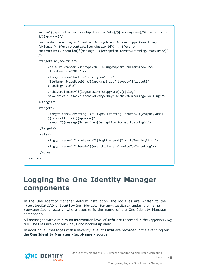```
value="${specialfolder:LocalApplicationData}/${companyName}/${productTitle
     }/${appName}"/>
     <variable name="layout" value="${longdate} ${level:upperCase=true}
     (${logger} ${event-context:item=SessionId}) : ${event-
     context:item=Indention}${message} ${exception:format=ToString,StackTrace}"
     />
     <targets async="true">
          <default-wrapper xsi:type="BufferingWrapper" bufferSize="256"
          flushTimeout="2000" />
          <target name="logfile" xsi:type="File"
          fileName="${logBaseDir}/${appName}.log" layout="${layout}"
          encoding="utf-8"
          archiveFileName="${logBaseDir}/${appName}.{#}.log"
          maxArchiveFiles="7" archiveEvery="Day" archiveNumbering="Rolling"/>
     </targets>
     <targets>
          <target name="eventLog" xsi:type="EventLog" source="${companyName}
          ${productTitle} ${appName}"
          layout="${message}${newline}${exception:format=tostring}"/>
     </targets>
     <rules>
          <logger name="*" minlevel="${logFileLevel}" writeTo="logfile"/>
          <logger name="*" level="${eventLogLevel}" writeTo="eventLog"/>
     </rules>
</nlog>
```
## <span id="page-44-0"></span>**Logging the One Identity Manager components**

In the One Identity Manager default installation, the log files are written to the %LocalAppData%\One Identity\One Identity Manager\<appName> under the name <appName>.log directory, where appName is the name of the One Identity Manager component.

All messages with a minimum information level of **Info** are recorded in the <appName>.log file. The files are kept for 7 days and backed up daily.

In addition, all messages with a severity level of **Fatal** are recorded in the event log for the **One Identity Manager <appName>** source.

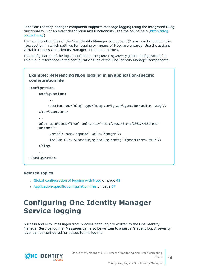Each One Identity Manager component supports message logging using the integrated NLog functionality. For an exact description and functionality, see the online help ([http://nlog](http://nlog-project.org/)[project.org/](http://nlog-project.org/)).

The configuration files of the One Identity Manager component (\*.exe.config) contain the nlog section, in which settings for logging by means of NLog are entered. Use the appName variable to pass One Identity Manager component names.

The configuration of the logs is defined in the globallog.config global configuration file. This file is referenced in the configuration files of the One Identity Manager components.



### **Related topics**

- Global [configuration](#page-42-0) of logging with NLog on page 43
- [Application-specific](#page-56-1) configuration files on page 57

# <span id="page-45-0"></span>**Configuring One Identity Manager Service logging**

Success and error messages from process handling are written to the One Identity Manager Service log file. Messages can also be written to a server's event log. A severity level can be configured for output to this log file.

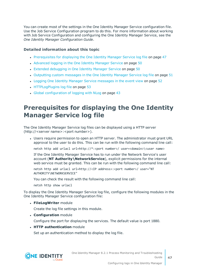You can create most of the settings in the One Identity Manager Service configuration file. Use the Job Service Configuration program to do this. For more information about working with Job Service Configuration and configuring the One Identity Manager Service, see the *One Identity Manager Configuration Guide*.

### **Detailed information about this topic**

- [Prerequisites](#page-46-0) for displaying the One Identity Manager Service log file on page 47
- [Advanced](#page-49-0) logging in the One Identity Manager Service on page 50
- Extended [debugging](#page-49-1) in One Identity Manager Service on page 50
- [Outputting](#page-50-0) custom messages in the One Identity Manager Service log file on page 51
- Logging One Identity Manager Service [messages](#page-51-0) in the event view on page 52
- [HTTPLogPlugins](#page-52-1) log file on page 53
- Global [configuration](#page-42-0) of logging with NLog on page 43

### <span id="page-46-0"></span>**Prerequisites for displaying the One Identity Manager Service log file**

The One Identity Manager Service log files can be displayed using a HTTP server (http://<server name>:<port number>).

• Users require permission to open an HTTP server. The administrator must grant URL approval to the user to do this. This can be run with the following command line call:

netsh http add urlacl url=http://\*:<port number>/ user=<domain>\<user name>

If the One Identity Manager Service has to run under the Network Service's user account (**NT Authority\NetworkService**), explicit permissions for the internal web service must be granted. This can be run with the following command line call:

netsh http add urlacl url=http://<IP address>:<port number>/ user="NT AUTHORITY\NETWORKSERVICE"

You can check the result with the following command line call:

netsh http show urlacl

To display the One Identity Manager Service log file, configure the following modules in the One Identity Manager Service configuration file:

**· FileLogWriter** module

Create the log file settings in this module.

**. Configuration** module

Configure the port for displaying the services. The default value is port 1880.

**. HTTP authentication** module

Set up an authentication method to display the log file.

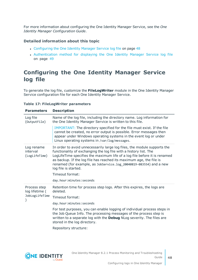For more information about configuring the One Identity Manager Service, see the *One Identity Manager Configuration Guide*.

### **Detailed information about this topic**

- [Configuring](#page-47-0) the One Identity Manager Service log file on page 48
- [Authentication](#page-48-0) method for displaying the One Identity Manager Service log file on [page](#page-48-0) 49

### <span id="page-47-0"></span>**Configuring the One Identity Manager Service log file**

To generate the log file, customize the **FileLogWriter** module in the One Identity Manager Service configuration file for each One Identity Manager Service.

### **Table 17: FileLogWriter parameters**

| <b>Parameters</b>                       | <b>Description</b>                                                                                                                                                                                                                                                                                                                                                                                                                             |
|-----------------------------------------|------------------------------------------------------------------------------------------------------------------------------------------------------------------------------------------------------------------------------------------------------------------------------------------------------------------------------------------------------------------------------------------------------------------------------------------------|
| Log file<br>(OutputFile)                | Name of the log file, including the directory name. Log information for<br>the One Identity Manager Service is written to this file.                                                                                                                                                                                                                                                                                                           |
|                                         | IMPORTANT: The directory specified for the file must exist. If the file<br>cannot be created, no error output is possible. Error messages then<br>appear under Windows operating systems in the event log or under<br>Linux operating systems in /var/log/messages.                                                                                                                                                                            |
| Log rename<br>interval<br>(LogLifeTime) | In order to avoid unnecessarily large log files, the module supports the<br>functionality of exchanging the log file with a history list. The<br>LogLifeTime specifies the maximum life of a log file before it is renamed<br>as backup. If the log file has reached its maximum age, the file is<br>renamed (for example, as JobService.log_20040819-083554) and a new<br>log file is started.<br>Timeout format:<br>day.hour:minutes:seconds |
| Process step                            | Retention time for process step logs. After this expires, the logs are                                                                                                                                                                                                                                                                                                                                                                         |
| log lifetime (                          | deleted.                                                                                                                                                                                                                                                                                                                                                                                                                                       |
| JobLogLifeTime                          | Timeout format:                                                                                                                                                                                                                                                                                                                                                                                                                                |
|                                         | day.hour: minutes: seconds                                                                                                                                                                                                                                                                                                                                                                                                                     |
|                                         | For test purposes, you can enable logging of individual process steps in<br>the Job Queue Info. The processing messages of the process step is<br>written to a separate log with the <b>Debug</b> NLog severity. The files are<br>stored in the log directory.                                                                                                                                                                                 |
|                                         |                                                                                                                                                                                                                                                                                                                                                                                                                                                |

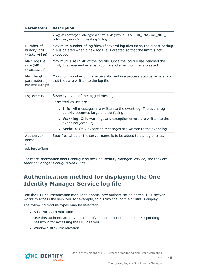| <b>Parameters</b>                                | <b>Description</b>                                                                                                                                                       |
|--------------------------------------------------|--------------------------------------------------------------------------------------------------------------------------------------------------------------------------|
|                                                  | <log directory="">\JobLogs\<first 4="" digits="" of="" the="" uid_job="">\Job_<uid_<br>Job&gt;_<yyyymmdd>_<timestamp>.log</timestamp></yyyymmdd></uid_<br></first></log> |
| Number of<br>history logs<br>(HistorySize)       | Maximum number of log files. If several log files exist, the oldest backup<br>file is deleted when a new log file is created so that the limit is not<br>exceeded.       |
| Max. log file<br>size (MB)<br>(MaxLogSize)       | Maximum size in MB of the log file. Once the log file has reached the<br>limit, it is renamed as a backup file and a new log file is created.                            |
| Max. length of<br>parameters (<br>ParamMaxLength | Maximum number of characters allowed in a process step parameter so<br>that they are written to the log file.                                                            |
| LogSeverity                                      | Severity levels of the logged messages.                                                                                                                                  |
|                                                  | Permitted values are:                                                                                                                                                    |
|                                                  | • Info: All messages are written to the event log. The event log<br>quickly becomes large and confusing.                                                                 |
|                                                  | • Warning: Only warnings and exception errors are written to the<br>event log (default).                                                                                 |
|                                                  | • Serious: Only exception messages are written to the event log.                                                                                                         |
| Add server<br>name<br>AddServerName)             | Specifies whether the server name is to be added to the log entries.                                                                                                     |

For more information about configuring the One Identity Manager Service, see the *One Identity Manager Configuration Guide*.

### <span id="page-48-0"></span>**Authentication method for displaying the One Identity Manager Service log file**

Use the HTTP authentication module to specify how authentication on the HTTP server works to access the services, for example, to display the log file or status display.

The following module types may be selected:

- BasicHttpAuthentication
	- Use this authentication type to specify a user account and the corresponding password for accessing the HTTP server.
- WindowsHttpAuthentication

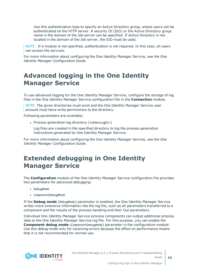Use this authentication type to specify an Active Directory group, whose users can be authenticated on the HTTP server. A security ID (SID) or the Active Directory group name in the domain of the Job server can be specified. If Active Directory is not located in the domain of the Job server, the SID must be used.

NOTE: If a module is not specified, authentication is not required. In this case, all users can access the services.

For more information about configuring the One Identity Manager Service, see the *One Identity Manager Configuration Guide*.

### <span id="page-49-0"></span>**Advanced logging in the One Identity Manager Service**

To use advanced logging for the One Identity Manager Service, configure the storage of log files in the One Identity Manager Service configuration file in the **Connection** module.

NOTE: The given directories must exist and the One Identity Manager Service user account must have write permissions to the directory.

Following parameters are available:

• Process generation log directory (JobGenLogDir)

Log files are created in the specified directory to log the process generation instructions generated by One Identity Manager Service.

For more information about configuring the One Identity Manager Service, see the *One Identity Manager Configuration Guide*.

### <span id="page-49-1"></span>**Extended debugging in One Identity Manager Service**

The **Configuration** module of the One Identity Manager Service configuration file provides two parameters for advanced debugging:

- DebugMode
- ComponentDebugMode

If the **Debug mode** (DebugMode) parameter is enabled, the One Identity Manager Service writes more extensive information into the log file, such as all parameters transferred to a component and the results of the process handling and their Out parameters.

Individual One Identity Manager Service process components can output additional process data to the One Identity Manager Service log file. For this purpose, you can enable the **Component debug mode** (ComponentDebugMode) parameter in the configuration module. Use this debug mode only for localizing errors because the effect on performance means that it is not recommended for normal use.

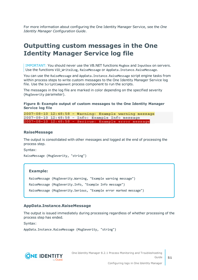For more information about configuring the One Identity Manager Service, see the *One Identity Manager Configuration Guide*.

### <span id="page-50-0"></span>**Outputting custom messages in the One Identity Manager Service log file**

IMPORTANT: You should never use the VB.NET functions Msgbox and Inputbox on servers. Use the functions VID\_Write2Log, RaiseMessage or AppData.Instance.RaiseMessage.

You can use the RaiseMessage and AppData. Instance. RaiseMessage script engine tasks from within process steps to write custom messages to the One Identity Manager Service log file. Use the ScriptComponent process component to run the scripts.

The messages in the log file are marked in color depending on the specified severity (MsgSeverity parameter).

### **Figure 8: Example output of custom messages to the One Identity Manager Service log file**

2007-08-10 12:48:58 - Warning: Example warning message 2007-08-10 12:48:58 - Info: Example Info message 2007-08-10 12:48:58 - Serious: Example error message

### **RaiseMessage**

The output is consolidated with other messages and logged at the end of processing the process step.

Syntax:

```
RaiseMessage (MsgSeverity, "string")
```
#### **Example:**

RaiseMessage (MsgSeverity.Warning, "Example warning message") RaiseMessage (MsgSeverity.Info, "Example Info message") RaiseMessage (MsgSeverity.Serious, "Example error marked message")

#### **AppData.Instance.RaiseMessage**

The output is issued immediately during processing regardless of whether processing of the process step has ended.

Syntax:

```
AppData.Instance.RaiseMessage (MsgSeverity, "string")
```
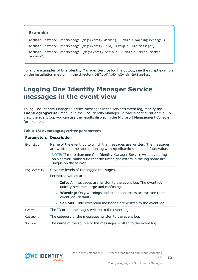

For more examples of One Identity Manager Service log file output, see the script example on the installation medium in the directory QBM\dvd\AddOn\SDK\ScriptSamples.

### <span id="page-51-0"></span>**Logging One Identity Manager Service messages in the event view**

To log One Identity Manager Service messages in the server's event log, modify the **EventLogLogWriter** module in the One Identity Manager Service's configuration file. To view the event log, you can use the results display in the Microsoft Management Console, for example.

### **Table 18: EventLogLogWriter parameters**

| <b>Parameters Description</b> |                                                                                                                                                                          |
|-------------------------------|--------------------------------------------------------------------------------------------------------------------------------------------------------------------------|
| EventLog                      | Name of the event log to which the messages are written. The messages<br>are written to the application log with <b>Application</b> as the default value.                |
|                               | NOTE: If more than one One Identity Manager Service write event logs<br>on a server, make sure that the first eight letters in the log name are<br>unique on the server. |
| LogSeverity                   | Severity levels of the logged messages.                                                                                                                                  |
|                               | Permitted values are:                                                                                                                                                    |
|                               | • Info: All messages are written to the event log. The event log<br>quickly becomes large and confusing.                                                                 |
|                               | • Warning: Only warnings and exception errors are written to the<br>event log (default).                                                                                 |
|                               | • Serious: Only exception messages are written to the event log.                                                                                                         |
| EventID                       | The ID of the messages written to the event log.                                                                                                                         |
| Category                      | The category of the messages written to the event log.                                                                                                                   |
| Source                        | The name of the source of the messages written to the event log.                                                                                                         |

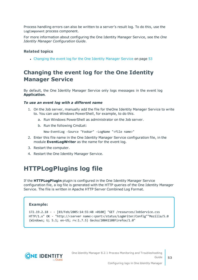Process handling errors can also be written to a server's result log. To do this, use the LogComponent process component.

For more information about configuring the One Identity Manager Service, see the *One Identity Manager Configuration Guide*.

### **Related topics**

• [Changing](#page-52-0) the event log for the One Identity Manager Service on page 53

### <span id="page-52-0"></span>**Changing the event log for the One Identity Manager Service**

By default, the One Identity Manager Service only logs messages in the event log **Application**.

### *To use an event log with a different name*

- 1. On the Job server, manually add the file for theOne Identity Manager Service to write to. You can use Windows PowerShell, for example, to do this.
	- a. Run Windows PowerShell as administrator on the Job server.
	- b. Run the following CmdLet:

```
New-EventLog -Source "Foobar" -LogName "<file name>"
```
- 2. Enter this file name in the One Identity Manager Service configuration file, in the module **EventLogWriter** as the name for the event log.
- 3. Restart the computer.
- <span id="page-52-1"></span>4. Restart the One Identity Manager Service.

### **HTTPLogPlugins log file**

If the **HTTPLogPlugin** plugin is configured in the One Identity Manager Service configuration file, a log file is generated with the HTTP queries of the One Identity Manager Service. The file is written in Apache HTTP Server Combined Log Format.

### **Example:**

```
172.19.2.18 - - [03/Feb/2005:14:55:48 +0100] "GET /resources/JobService.css
HTTP/1.x" OK - "http://<server name>:<port>/status/LogWriter/Config""Mozilla/5.0
(Windows; U; 5.1; en-US; rv:1.7.5) Gecko/20041108Firefox/1.0"
```
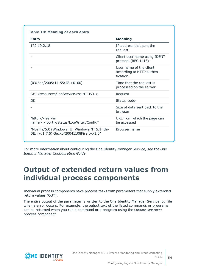| <b>Entry</b>                                                                              | <b>Meaning</b>                                                    |
|-------------------------------------------------------------------------------------------|-------------------------------------------------------------------|
| 172.19.2.18                                                                               | IP address that sent the<br>request.                              |
|                                                                                           | Client user name using IDENT<br>protocol (RFC 1413)-              |
|                                                                                           | User name of the client<br>according to HTTP authen-<br>tication. |
| $[03/Feb/2005:14:55:48 + 0100]$                                                           | Time that the request is<br>processed on the server               |
| GET /resources/JobService.css HTTP/1.x                                                    | Request                                                           |
| OK.                                                                                       | Status code-                                                      |
|                                                                                           | Size of data sent back to the<br>browser                          |
| "http:// <server<br>name&gt;:<port>/status/LogWriter/Config"</port></server<br>           | URL from which the page can<br>be accessed                        |
| "Mozilla/5.0 (Windows; U; Windows NT 5.1; de-<br>DE; rv:1.7.5) Gecko/20041108Firefox/1.0" | Browser name                                                      |

For more information about configuring the One Identity Manager Service, see the *One Identity Manager Configuration Guide*.

## <span id="page-53-0"></span>**Output of extended return values from individual process components**

Individual process components have process tasks with parameters that supply extended return values (OUT).

The entire output of the parameter is written to the One Identity Manager Service log file when a error occurs. For example, the output text of the listed commands or programs can be returned when you run a command or a program using the CommandComponent process component.

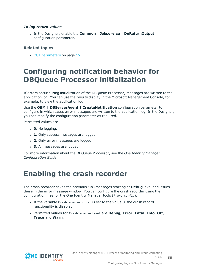### *To log return values*

<sup>l</sup> In the Designer, enable the **Common | Jobservice | DoReturnOutput** configuration parameter.

### **Related topics**

• OUT [parameters](#page-15-1) on page 16

## <span id="page-54-0"></span>**Configuring notification behavior for DBQueue Processor initialization**

If errors occur during initialization of the DBQueue Processor, messages are written to the application log. You can use the results display in the Microsoft Management Console, for example, to view the application log.

Use the **QBM | DBServerAgent | CreateNotification** configuration parameter to configure in which cases error messages are written to the application log. In the Designer, you can modify the configuration parameter as required.

Permitted values are:

- $\cdot$  **0**: No logging.
- **1**: Only success messages are logged.
- 2: Only error messages are logged.
- 3: All messages are logged.

For more information about the DBQueue Processor, see the *One Identity Manager Configuration Guide*.

## <span id="page-54-1"></span>**Enabling the crash recorder**

The crash recorder saves the previous **128** messages starting at **Debug** level and issues these in the error message window. You can configure the crash recorder using the configuration files for the One Identity Manager tools (\*.exe.config).

- **.** If the variable CrashRecorderBuffer is set to the value **0**, the crash record functionality is disabled.
- <sup>l</sup> Permitted values for CrashRecorderLevel are **Debug**, **Error**, **Fatal**, **Info**, **Off**, **Trace** and **Warn**.

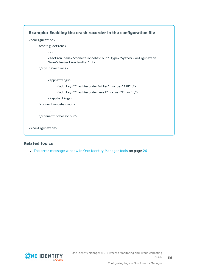

### **Related topics**

• The error [message](#page-25-1) window in One Identity Manager tools on page 26

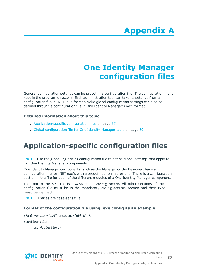# **Appendix:One Identity Manager configuration files**

<span id="page-56-0"></span>General configuration settings can be preset in a configuration file. The configuration file is kept in the program directory. Each administration tool can take its settings from a configuration file in .NET .exe format. Valid global configuration settings can also be defined through a configuration file in One Identity Manager's own format.

### **Detailed information about this topic**

- [Application-specific](#page-56-1) configuration files on page 57
- Global [configuration](#page-58-0) file for One Identity Manager tools on page 59

# <span id="page-56-1"></span>**Application-specific configuration files**

NOTE: Use the globallog.config configuration file to define global settings that apply to all One Identity Manager components.

One Identity Manager components, such as the Manager or the Designer, have a configuration file for .NET exe's with a predefined format for this. There is a configuration section in the file for each of the different modules of a One Identity Manager component.

The root in the XML file is always called configuration. All other sections of the configuration file must be in the mandatory configSections section and their type must be defined.

NOTE: Entries are case-sensitive.

### **Format of the configuration file using .exe.config as an example**

<?xml version="1.0" encoding="utf-8" ?>

<configuration>

<configSections>

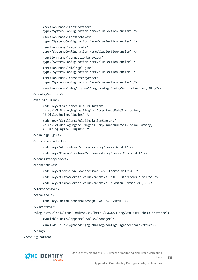```
<section name="formprovider"
     type="System.Configuration.NameValueSectionHandler" />
     <section name="formarchives"
     type="System.Configuration.NameValueSectionHandler" />
     <section name="vicontrols"
     type="System.Configuration.NameValueSectionHandler" />
     <section name="connectionbehaviour"
     type="System.Configuration.NameValueSectionHandler" />
     <section name="dialogplugins"
     type="System.Configuration.NameValueSectionHandler" />
     <section name="consistencychecks"
     type="System.Configuration.NameValueSectionHandler" />
     <section name="nlog" type="NLog.Config.ConfigSectionHandler, NLog"/>
</configSections>
<dialogplugins>
     <add key="ComplianceRuleSimulation"
     value="VI.DialogEngine.Plugins.ComplianceRuleSimulation,
     AE.DialogEngine.Plugins" />
     <add key="ComplianceRuleSimulationSummary"
     value="VI.DialogEngine.Plugins.ComplianceRuleSimulationSummary,
     AE.DialogEngine.Plugins" />
</dialogplugins>
<consistencychecks>
     <add key="AE" value="VI.ConsistencyChecks.AE.dll" />
     <add key="Common" value="VI.ConsistencyChecks.Common.dll" />
</consistencychecks>
<formarchives>
     <add key="Forms" value="archive:.\???.Forms*.vif;10" />
     <add key="CustomForms" value="archive:.\AE.CustomForms.*.vif;5" />
     <add key="CommonForms" value="archive:.\Common.Forms*.vif;5" />
</formarchives>
<vicontrols>
     <add key="defaultcontroldesign" value="System" />
</vicontrols>
<nlog autoReload="true" xmlns:xsi="http://www.w3.org/2001/XMLSchema-instance">
```

```
<variable name="appName" value="Manager"/>
```

```
<include file="${basedir}/globallog.config" ignoreErrors="true"/>
```

```
</nlog>
```

```
</configuration>
```
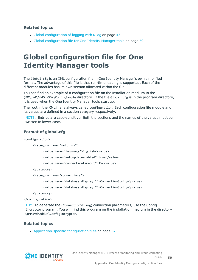### **Related topics**

- $\cdot$  Global [configuration](#page-42-0) of logging with NLog on page 43
- Global [configuration](#page-58-0) file for One Identity Manager tools on page 59

## <span id="page-58-0"></span>**Global configuration file for One Identity Manager tools**

The Global.cfg is an XML configuration file in One Identity Manager's own simplified format. The advantage of this file is that run-time loading is supported. Each of the different modules has its own section allocated within the file.

You can find an example of a configuration file on the installation medium in the QBM\dvd\AddOn\SDK\ConfigSample directory. If the file Global.cfg is in the program directory, it is used when the One Identity Manager tools start up.

The root in the XML file is always called configuration. Each configuration file module and its values are defined in a section category respectively.

NOTE: Entries are case-sensitive. Both the sections and the names of the values must be written in lower case.

### **Format of global.cfg**

<configuration>

<category name="settings">

<value name="language">English</value>

<value name="autoupdateenabled">true</value>

<value name="connectiontimeout">15</value>

</category>

<category name="connections">

<value name="database display 1">ConnectionString</value>

<value name="database display 2">ConnectionString</value>

</category>

</configuration>

TIP: To generate the (ConnectionString) connection parameters, use the Config Encryptor program. You will find this program on the installation medium in the directory QBM\dvd\AddOn\ConfigEncryptor.

### **Related topics**

• [Application-specific](#page-56-1) configuration files on page 57

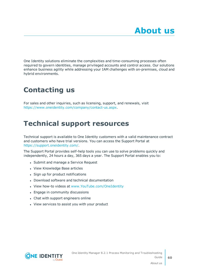<span id="page-59-0"></span>One Identity solutions eliminate the complexities and time-consuming processes often required to govern identities, manage privileged accounts and control access. Our solutions enhance business agility while addressing your IAM challenges with on-premises, cloud and hybrid environments.

# <span id="page-59-1"></span>**Contacting us**

For sales and other inquiries, such as licensing, support, and renewals, visit <https://www.oneidentity.com/company/contact-us.aspx>.

## <span id="page-59-2"></span>**Technical support resources**

Technical support is available to One Identity customers with a valid maintenance contract and customers who have trial versions. You can access the Support Portal at [https://support.oneidentity.com/.](https://support.oneidentity.com/)

The Support Portal provides self-help tools you can use to solve problems quickly and independently, 24 hours a day, 365 days a year. The Support Portal enables you to:

- Submit and manage a Service Request
- View Knowledge Base articles
- Sign up for product notifications
- Download software and technical documentation
- View how-to videos at [www.YouTube.com/OneIdentity](http://www.youtube.com/OneIdentity)
- Engage in community discussions
- Chat with support engineers online
- View services to assist you with your product

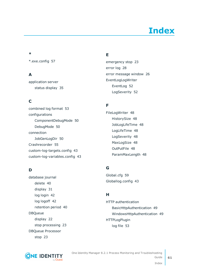# **Index**

### <span id="page-60-0"></span>**\***

\*.exe.config [57](#page-56-0)

### **A**

application server status display [35](#page-34-0)

### **C**

combined log format [53](#page-52-1) configurations ComponentDebugMode [50](#page-49-1) DebugMode [50](#page-49-1) connection JobGenLogDir [50](#page-49-0) Crashrecorder [55](#page-54-1) custom-log-targets.config [43](#page-42-0) custom-log-variables.config [43](#page-42-0)

### **D**

database journal delete [40](#page-39-1) display [31](#page-30-0) log login [42](#page-41-0) log logoff [42](#page-41-0) retention period [40](#page-39-1) DBQueue display [22](#page-21-1) stop processing [23](#page-22-1) DBQueue Processor stop [23](#page-22-1)

### **E**

emergency stop [23](#page-22-1) error log [28](#page-27-0) error message window [26](#page-25-1) EventLogLogWriter EventLog [52](#page-51-0) LogSeverity [52](#page-51-0)

### **F**

FileLogWriter [48](#page-47-0) HistorySize [48](#page-47-0) JobLogLifeTime [48](#page-47-0) LogLifeTime [48](#page-47-0) LogSeverity [48](#page-47-0) MaxLogSize [48](#page-47-0) OutPutFile [48](#page-47-0) ParamMaxLength [48](#page-47-0)

### **G**

Global.cfg [59](#page-58-0) Globallog.config [43](#page-42-0)

### **H**

HTTP authentication BasicHttpAuthentication [49](#page-48-0) WindowsHttpAuthentication [49](#page-48-0) HTTPLogPlugin log file [53](#page-52-1)

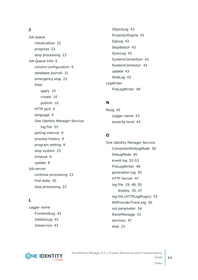### **J**

Job queue initialization [22](#page-21-0) progress [23](#page-22-0) stop processing [23](#page-22-1) Job Queue Info [6](#page-5-1) column configuration [9](#page-8-0) database journal [31](#page-30-0) emergency stop [23](#page-22-1) filter apply [10](#page-9-0) create [10](#page-9-0) publish [10](#page-9-0) HTTP port [9](#page-8-1) language [9](#page-8-1) One Identity Manager Service log file [33](#page-32-0) polling interval [9](#page-8-1) process history [9](#page-8-1) program setting [9](#page-8-1) stop system [23](#page-22-1) timeout [9](#page-8-1) update [8](#page-7-0) Job server continue processing [23](#page-22-1) find state [20](#page-19-0) stop processing [23](#page-22-1)

### **L**

Logger name FrontendLog [43](#page-42-0) JobGenLog [43](#page-42-0) Jobservice [43](#page-42-0)

ObjectLog [43](#page-42-0) ProjectorEngine [43](#page-42-0) SqlLog [43](#page-42-0) StopWatch [43](#page-42-0) SyncLog [43](#page-42-0) SystemConnection [43](#page-42-0) SystemConnector [43](#page-42-0) update [43](#page-42-0) WebLog [43](#page-42-0) LogWriter FileLogWriter [48](#page-47-0)

### **N**

NLog [45](#page-44-0) Logger name [43](#page-42-0) severity level [43](#page-42-0)

### **O**

One Identity Manager Service ComponentDebugMode [50](#page-49-1) DebugMode [50](#page-49-1) event log [52-53](#page-51-0) FileLogWriter [48](#page-47-0) generation log [50](#page-49-0) HTTP Server [47](#page-46-0) log file [19](#page-18-0), [48](#page-47-0), [50](#page-49-1) display [33](#page-32-0), [47](#page-46-0) log file (HTTPLogPlugin) [53](#page-52-1) NSProviderTrace.log [50](#page-49-1) out parameter [54](#page-53-0) RaiseMessage [51](#page-50-0) services [47](#page-46-0) stop [23](#page-22-1)